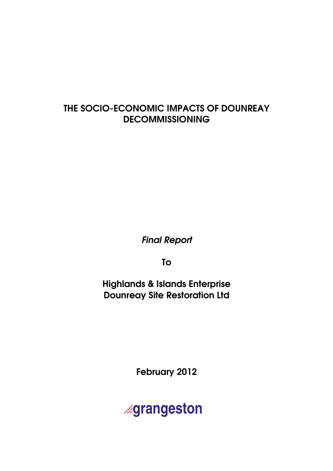# THE SOCIO-ECONOMIC IMPACTS OF DOUNREAY DECOMMISSIONING

Final Report

To

Highlands & Islands Enterprise Dounreay Site Restoration Ltd

February 2012

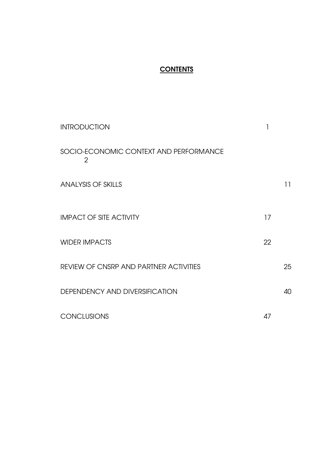# **CONTENTS**

| <b>INTRODUCTION</b>                                      | 1  |    |
|----------------------------------------------------------|----|----|
| SOCIO-ECONOMIC CONTEXT AND PERFORMANCE<br>$\overline{2}$ |    |    |
| <b>ANALYSIS OF SKILLS</b>                                |    | 11 |
| <b>IMPACT OF SITE ACTIVITY</b>                           | 17 |    |
| <b>WIDER IMPACTS</b>                                     | 22 |    |
| <b>REVIEW OF CNSRP AND PARTNER ACTIVITIES</b>            |    | 25 |
| DEPENDENCY AND DIVERSIFICATION                           |    | 40 |
| <b>CONCLUSIONS</b>                                       | 47 |    |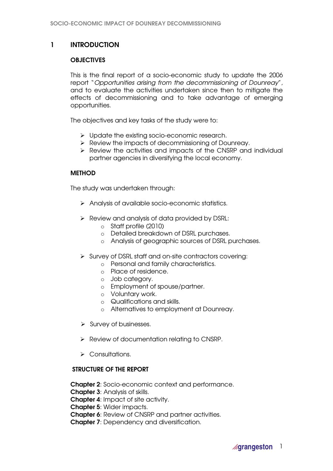# 1 INTRODUCTION

# **OBJECTIVES**

This is the final report of a socio-economic study to update the 2006 report "Opportunities arising from the decommissioning of Dounreay", and to evaluate the activities undertaken since then to mitigate the effects of decommissioning and to take advantage of emerging opportunities.

The objectives and key tasks of the study were to:

- > Update the existing socio-economic research.
- P Review the impacts of decommissioning of Dounreay.
- $\triangleright$  Review the activities and impacts of the CNSRP and individual partner agencies in diversifying the local economy.

# **METHOD**

The study was undertaken through:

- Analysis of available socio-economic statistics.
- $\triangleright$  Review and analysis of data provided by DSRL:
	- o Staff profile (2010)
	- o Detailed breakdown of DSRL purchases.
	- o Analysis of geographic sources of DSRL purchases.
- $\triangleright$  Survey of DSRL staff and on-site contractors covering:
	- o Personal and family characteristics.
		- o Place of residence.
		- o Job category.
		- o Employment of spouse/partner.
		- o Voluntary work.
		- o Qualifications and skills.
		- o Alternatives to employment at Dounreay.
- $\triangleright$  Survey of businesses.
- $\triangleright$  Review of documentation relating to CNSRP.
- $\triangleright$  Consultations.

# STRUCTURE OF THE REPORT

Chapter 2: Socio-economic context and performance.

**Chapter 3: Analysis of skills.** 

Chapter 4: Impact of site activity.

Chapter 5: Wider impacts.

Chapter 6: Review of CNSRP and partner activities.

Chapter 7: Dependency and diversification.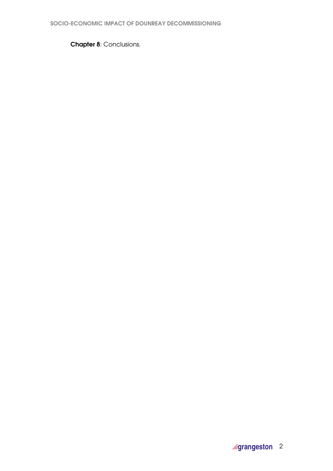**Chapter 8: Conclusions.**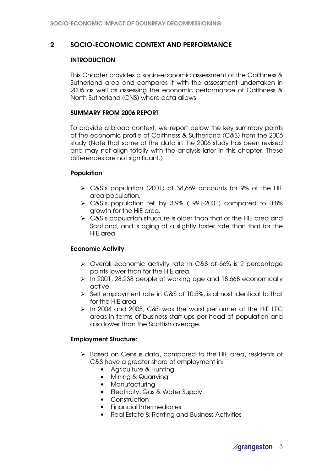# 2 SOCIO-ECONOMIC CONTEXT AND PERFORMANCE

# **INTRODUCTION**

This Chapter provides a socio-economic assessment of the Caithness & Sutherland area and compares it with the assessment undertaken in 2006 as well as assessing the economic performance of Caithness & North Sutherland (CNS) where data allows.

### SUMMARY FROM 2006 REPORT

To provide a broad context, we report below the key summary points of the economic profile of Caithness & Sutherland (C&S) from the 2006 study (Note that some of the data in the 2006 study has been revised and may not align totally with the analysis later in this chapter. These differences are not significant.)

# Population:

- C&S's population (2001) of 38,669 accounts for 9% of the HIE area population.
- C&S's population fell by 3.9% (1991-2001) compared to 0.8% growth for the HIE area.
- $\triangleright$  C&S's population structure is older than that of the HIE area and Scotland, and is aging at a slightly faster rate than that for the HIE area.

# Economic Activity:

- Overall economic activity rate in C&S of 66% is 2 percentage points lower than for the HIE area.
- $\triangleright$  In 2001, 28,238 people of working age and 18,668 economically active.
- $\triangleright$  Self employment rate in C&S of 10.5%, is almost identical to that for the HIE area.
- > In 2004 and 2005, C&S was the worst performer of the HIE LEC areas in terms of business start-ups per head of population and also lower than the Scottish average.

# Employment Structure:

- > Based on Census data, compared to the HIE area, residents of C&S have a greater share of employment in:
	- Agriculture & Hunting.
	- Mining & Quarrying
	- Manufacturing
	- Electricity, Gas & Water Supply
	- Construction
	- Financial Intermediaries
	- Real Estate & Renting and Business Activities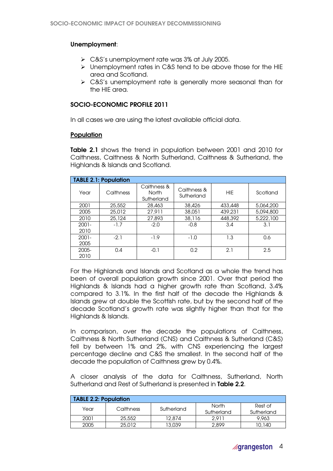# Unemployment:

- C&S's unemployment rate was 3% at July 2005.
- > Unemployment rates in C&S tend to be above those for the HIE area and Scotland.
- ▶ C&S's unemployment rate is generally more seasonal than for the HIE area.

# SOCIO-ECONOMIC PROFILE 2011

In all cases we are using the latest available official data.

### **Population**

Table 2.1 shows the trend in population between 2001 and 2010 for Caithness, Caithness & North Sutherland, Caithness & Sutherland, the Highlands & Islands and Scotland.

|                  | <b>TABLE 2.1: Population</b> |                                           |                           |            |           |
|------------------|------------------------------|-------------------------------------------|---------------------------|------------|-----------|
| Year             | Caithness                    | Caithness &<br><b>North</b><br>Sutherland | Caithness &<br>Sutherland | <b>HIE</b> | Scotland  |
| 2001             | 25,552                       | 28,463                                    | 38,426                    | 433,448    | 5,064,200 |
| 2005             | 25,012                       | 27.911                                    | 38,051                    | 439,231    | 5,094,800 |
| 2010             | 25,124                       | 27,893                                    | 38,116                    | 448,392    | 5,222,100 |
| $2001 -$<br>2010 | $-1.7$                       | $-2.0$                                    | $-0.8$                    | 3.4        | 3.1       |
| $2001 -$         | $-2.1$                       | $-1.9$                                    | $-1.0$                    | 1.3        | 0.6       |
| 2005             |                              |                                           |                           |            |           |
| 2005-<br>2010    | 0.4                          | $-0.1$                                    | 0.2                       | 2.1        | 2.5       |

For the Highlands and Islands and Scotland as a whole the trend has been of overall population growth since 2001. Over that period the Highlands & Islands had a higher growth rate than Scotland, 3.4% compared to 3.1%. In the first half of the decade the Highlands & Islands grew at double the Scottish rate, but by the second half of the decade Scotland's growth rate was slightly higher than that for the Highlands & Islands.

In comparison, over the decade the populations of Caithness, Caithness & North Sutherland (CNS) and Caithness & Sutherland (C&S) fell by between 1% and 2%, with CNS experiencing the largest percentage decline and C&S the smallest. In the second half of the decade the population of Caithness grew by 0.4%.

A closer analysis of the data for Caithness, Sutherland, North Sutherland and Rest of Sutherland is presented in Table 2.2.

| <b>TABLE 2.2: Population</b> |           |            |                     |                       |  |  |  |  |
|------------------------------|-----------|------------|---------------------|-----------------------|--|--|--|--|
| Year                         | Caithness | Sutherland | North<br>Sutherland | Rest of<br>Sutherland |  |  |  |  |
| 2001                         | 25,552    | 12.874     | 2.911               | 9.963                 |  |  |  |  |
| 2005                         | 25,012    | 13.039     | 2,899               | 10,140                |  |  |  |  |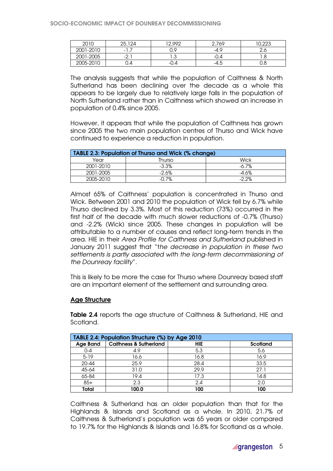| 2010      | 124<br>つに<br>ZU. | 12,992 | 2,769  | 0.000<br>U,ZZJ |
|-----------|------------------|--------|--------|----------------|
| 2001-2010 | - 1              | 0.9    | $-4.9$ | ے،ے            |
| 2001-2005 | ⌒<br>-4. I       | ن. ا   | -U.4   | 1.O            |
| 2005-2010 | 0.4              | -0.4   | ث.4–   | 0.8            |

The analysis suggests that while the population of Caithness & North Sutherland has been declining over the decade as a whole this appears to be largely due to relatively large falls in the population of North Sutherland rather than in Caithness which showed an increase in population of 0.4% since 2005.

However, it appears that while the population of Caithness has grown since 2005 the two main population centres of Thurso and Wick have continued to experience a reduction in population.

| TABLE 2.3: Population of Thurso and Wick (% change) |          |          |  |  |  |
|-----------------------------------------------------|----------|----------|--|--|--|
| Year                                                | Thurso   | Wick     |  |  |  |
| 2001-2010                                           | $-3.3\%$ | $-6.7%$  |  |  |  |
| 2001-2005                                           | -2.6%    | -4.6%    |  |  |  |
| 2005-2010                                           | $-0.7%$  | $-2.2\%$ |  |  |  |

Almost 65% of Caithness' population is concentrated in Thurso and Wick. Between 2001 and 2010 the population of Wick fell by 6.7% while Thurso declined by 3.3%. Most of this reduction (73%) occurred in the first half of the decade with much slower reductions of -0.7% (Thurso) and -2.2% (Wick) since 2005. These changes in population will be attributable to a number of causes and reflect long-term trends in the area. HIE in their Area Profile for Caithness and Sutherland published in January 2011 suggest that "the decrease in population in these two settlements is partly associated with the long-term decommissioning of the Dounreay facility".

This is likely to be more the case for Thurso where Dounreay based staff are an important element of the settlement and surrounding area.

#### Age Structure

Table 2.4 reports the age structure of Caithness & Sutherland, HIE and Scotland.

| TABLE 2.4: Population Structure (%) by Age 2010 |                                   |      |                 |  |  |  |
|-------------------------------------------------|-----------------------------------|------|-----------------|--|--|--|
| <b>Age Band</b>                                 | <b>Caithness &amp; Sutherland</b> | HIE  | <b>Scotland</b> |  |  |  |
| $0 - 4$                                         | 4.9                               | 5.3  | 5.6             |  |  |  |
| $5 - 19$                                        | 16.6                              | 16.8 | 16.9            |  |  |  |
| 20-44                                           | 25.9                              | 28.4 | 33.5            |  |  |  |
| 45-64                                           | 31.0                              | 29.9 | 27.1            |  |  |  |
| 65-84                                           | 19.4                              | 17.3 | 14.8            |  |  |  |
| $85+$                                           | 2.3                               | 2.4  | 2.0             |  |  |  |
| Total                                           | 100.0                             | 100  | 100             |  |  |  |

Caithness & Sutherland has an older population than that for the Highlands & Islands and Scotland as a whole. In 2010, 21.7% of Caithness & Sutherland's population was 65 years or older compared to 19.7% for the Highlands & Islands and 16.8% for Scotland as a whole.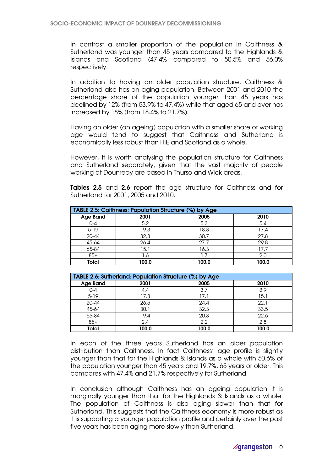In contrast a smaller proportion of the population in Caithness & Sutherland was younger than 45 years compared to the Highlands & Islands and Scotland (47.4% compared to 50.5% and 56.0% respectively.

In addition to having an older population structure, Caithness & Sutherland also has an aging population. Between 2001 and 2010 the percentage share of the population younger than 45 years has declined by 12% (from 53.9% to 47.4%) while that aged 65 and over has increased by 18% (from 18.4% to 21.7%).

Having an older (an ageing) population with a smaller share of working age would tend to suggest that Caithness and Sutherland is economically less robust than HIE and Scotland as a whole.

However, it is worth analysing the population structure for Caithness and Sutherland separately, given that the vast majority of people working at Dounreay are based in Thurso and Wick areas.

Tables 2.5 and 2.6 report the age structure for Caithness and for Sutherland for 2001, 2005 and 2010.

| TABLE 2.5: Caithness: Population Structure (%) by Age |       |       |       |  |  |  |
|-------------------------------------------------------|-------|-------|-------|--|--|--|
| <b>Age Band</b>                                       | 2001  | 2005  | 2010  |  |  |  |
| $0 - 4$                                               | 5.2   | 5.3   | 5.4   |  |  |  |
| $5 - 19$                                              | 19.3  | 18.3  | 17.4  |  |  |  |
| 20-44                                                 | 32.3  | 30.7  | 27.8  |  |  |  |
| 45-64                                                 | 26.4  | 27.7  | 29.8  |  |  |  |
| 65-84                                                 | 15.1  | 16.3  | 17.7  |  |  |  |
| $85+$                                                 | . .6  |       | 2.0   |  |  |  |
| Total                                                 | 100.0 | 100.0 | 100.0 |  |  |  |

| TABLE 2.6: Sutherland: Population Structure (%) by Age |       |       |       |  |  |  |  |
|--------------------------------------------------------|-------|-------|-------|--|--|--|--|
| <b>Age Band</b>                                        | 2001  | 2005  | 2010  |  |  |  |  |
| $0 - 4$                                                | 4.4   | 3.7   | 3.9   |  |  |  |  |
| $5 - 19$                                               | 17.3  | 17.1  | 15.1  |  |  |  |  |
| 20-44                                                  | 26.5  | 24.4  | 22.1  |  |  |  |  |
| 45-64                                                  | 30.1  | 32.3  | 33.5  |  |  |  |  |
| 65-84                                                  | 19.4  | 20.3  | 22.6  |  |  |  |  |
| $85+$                                                  | 2.4   | 2.2   | 2.8   |  |  |  |  |
| Total                                                  | 100.0 | 100.0 | 100.0 |  |  |  |  |

In each of the three years Sutherland has an older population distribution than Caithness. In fact Caithness' age profile is slightly younger than that for the Highlands & Islands as a whole with 50.6% of the population younger than 45 years and 19.7%, 65 years or older. This compares with 47.4% and 21.7% respectively for Sutherland.

In conclusion although Caithness has an ageing population it is marginally younger than that for the Highlands & Islands as a whole. The population of Caithness is also aging slower than that for Sutherland. This suggests that the Caithness economy is more robust as it is supporting a younger population profile and certainly over the past five years has been aging more slowly than Sutherland.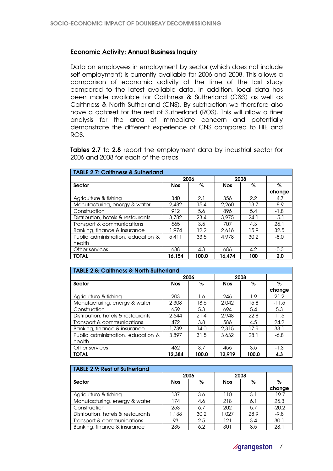# Economic Activity: Annual Business Inquiry

Data on employees in employment by sector (which does not include self-employment) is currently available for 2006 and 2008. This allows a comparison of economic activity at the time of the last study compared to the latest available data. In addition, local data has been made available for Caithness & Sutherland (C&S) as well as Caithness & North Sutherland (CNS). By subtraction we therefore also have a dataset for the rest of Sutherland (ROS). This will allow a finer analysis for the area of immediate concern and potentially demonstrate the different experience of CNS compared to HIE and ROS.

Tables 2.7 to 2.8 report the employment data by industrial sector for 2006 and 2008 for each of the areas.

| <b>TABLE 2.7: Caithness &amp; Sutherland</b> |            |       |            |      |        |  |
|----------------------------------------------|------------|-------|------------|------|--------|--|
|                                              | 2006       |       | 2008       |      |        |  |
| <b>Sector</b>                                | <b>Nos</b> | %     | <b>Nos</b> | %    | %      |  |
|                                              |            |       |            |      | change |  |
| Agriculture & fishing                        | 340        | 2.1   | 356        | 2.2  | 4.7    |  |
| Manufacturing, energy & water                | 2,482      | 15.4  | 2,260      | 13.7 | $-8.9$ |  |
| Construction                                 | 912        | 5.6   | 896        | 5.4  | $-1.8$ |  |
| Distribution, hotels & restaurants           | 3,782      | 23.4  | 3.975      | 24.1 | 5.1    |  |
| Transport & communications                   | 565        | 3.5   | 707        | 4.3  | 25.1   |  |
| Banking, finance & insurance                 | 1.974      | 12.2  | 2.616      | 15.9 | 32.5   |  |
| Public administration, education &           | 5.411      | 33.5  | 4.978      | 30.2 | $-8.0$ |  |
| health                                       |            |       |            |      |        |  |
| Other services                               | 688        | 4.3   | 686        | 4.2  | $-0.3$ |  |
| <b>TOTAL</b>                                 | 16.154     | 100.0 | 16.474     | 100  | 2.0    |  |

| TABLE 2.8: Caithness & North Sutherland |            |       |            |       |         |  |  |
|-----------------------------------------|------------|-------|------------|-------|---------|--|--|
|                                         | 2006       |       | 2008       |       |         |  |  |
| <b>Sector</b>                           | <b>Nos</b> | %     | <b>Nos</b> | %     | %       |  |  |
|                                         |            |       |            |       | change  |  |  |
| Agriculture & fishing                   | 203        | 1.6   | 246        | 1.9   | 21.2    |  |  |
| Manufacturing, energy & water           | 2,308      | 18.6  | 2.042      | 15.8  | $-11.5$ |  |  |
| Construction                            | 659        | 5.3   | 694        | 5.4   | 5.3     |  |  |
| Distribution, hotels & restaurants      | 2,644      | 21.4  | 2.948      | 22.8  | 11.5    |  |  |
| Transport & communications              | 472        | 3.8   | 586        | 4.5   | 24.2    |  |  |
| Banking, finance & insurance            | 1,739      | 14.0  | 2,315      | 17.9  | 33.1    |  |  |
| Public administration, education &      | 3.897      | 31.5  | 3.632      | 28.1  | $-6.8$  |  |  |
| health                                  |            |       |            |       |         |  |  |
| Other services                          | 462        | 3.7   | 456        | 3.5   | $-1.3$  |  |  |
| <b>TOTAL</b>                            | 12.384     | 100.0 | 12.919     | 100.0 | 4.3     |  |  |

| <b>TABLE 2.9: Rest of Sutherland</b> |            |      |            |      |         |  |  |
|--------------------------------------|------------|------|------------|------|---------|--|--|
|                                      |            | 2006 | 2008       |      |         |  |  |
| <b>Sector</b>                        | <b>Nos</b> | %    | <b>Nos</b> | %    | %       |  |  |
|                                      |            |      |            |      | change  |  |  |
| Agriculture & fishing                | 137        | 3.6  | 110        | 3.1  | $-19.7$ |  |  |
| Manufacturing, energy & water        | 174        | 4.6  | 218        | 6.1  | 25.3    |  |  |
| Construction                         | 253        | 6.7  | 202        | 5.7  | $-20.2$ |  |  |
| Distribution, hotels & restaurants   | 1,138      | 30.2 | 1.027      | 28.9 | $-9.8$  |  |  |
| Transport & communications           | 93         | 2.5  | 121        | 3.4  | 30.1    |  |  |
| Banking, finance & insurance         | 235        | 6.2  | 301        | 8.5  | 28.1    |  |  |

# o**grangeston** 7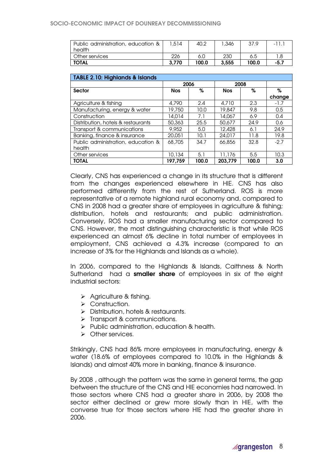#### SOCIO-ECONOMIC IMPACT OF DOUNREAY DECOMMISSIONING

| Public administration, education & | .514  | 40.2  | 346. ` | 37.9  | $\overline{\phantom{0}}$ |
|------------------------------------|-------|-------|--------|-------|--------------------------|
| health                             |       |       |        |       |                          |
| Other services                     | 226   | 6.0   | 230    | 6.5   |                          |
| <b>TOTAL</b>                       | 3.770 | 100.0 | 3.555  | 100.0 | -5.7                     |

| <b>TABLE 2.10: Highlands &amp; Islands</b> |            |       |            |       |        |
|--------------------------------------------|------------|-------|------------|-------|--------|
|                                            | 2006       |       | 2008       |       |        |
| <b>Sector</b>                              | <b>Nos</b> | %     | <b>Nos</b> | %     | %      |
|                                            |            |       |            |       | change |
| Agriculture & fishing                      | 4,790      | 2.4   | 4,710      | 2.3   | $-1.7$ |
| Manufacturing, energy & water              | 19,750     | 10.0  | 19.847     | 9.8   | 0.5    |
| Construction                               | 14.014     | 7.1   | 14.067     | 6.9   | 0.4    |
| Distribution, hotels & restaurants         | 50,363     | 25.5  | 50.677     | 24.9  | 0.6    |
| Transport & communications                 | 9,952      | 5.0   | 12.428     | 6.1   | 24.9   |
| Banking, finance & insurance               | 20,051     | 10.1  | 24,017     | 11.8  | 19.8   |
| Public administration, education &         | 68,705     | 34.7  | 66,856     | 32.8  | $-2.7$ |
| health                                     |            |       |            |       |        |
| Other services                             | 10,134     | 5.1   | 11,176     | 5.5   | 10.3   |
| <b>TOTAL</b>                               | 197.759    | 100.0 | 203.779    | 100.0 | 3.0    |

Clearly, CNS has experienced a change in its structure that is different from the changes experienced elsewhere in HIE. CNS has also performed differently from the rest of Sutherland. ROS is more representative of a remote highland rural economy and, compared to CNS in 2008 had a greater share of employees in agriculture & fishing; distribution, hotels and restaurants; and public administration. Conversely, ROS had a smaller manufacturing sector compared to CNS. However, the most distinguishing characteristic is that while ROS experienced an almost 6% decline in total number of employees in employment, CNS achieved a 4.3% increase (compared to an increase of 3% for the Highlands and Islands as a whole).

In 2006, compared to the Highlands & Islands, Caithness & North Sutherland had a **smaller share** of employees in six of the eight industrial sectors:

- $\triangleright$  Agriculture & fishing.
- > Construction.
- > Distribution, hotels & restaurants.
- $\triangleright$  Transport & communications.
- $\triangleright$  Public administration, education & health.
- > Other services.

Strikingly, CNS had 86% more employees in manufacturing, energy & water (18.6% of employees compared to 10.0% in the Highlands & Islands) and almost 40% more in banking, finance & insurance.

By 2008 , although the pattern was the same in general terms, the gap between the structure of the CNS and HIE economies had narrowed. In those sectors where CNS had a greater share in 2006, by 2008 the sector either declined or grew more slowly than in HIE, with the converse true for those sectors where HIE had the greater share in 2006.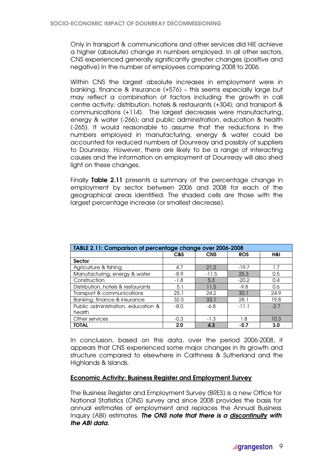Only in transport & communications and other services did HIE achieve a higher (absolute) change in numbers employed. In all other sectors, CNS experienced generally significantly greater changes (positive and negative) in the number of employees comparing 2008 to 2006.

Within CNS the largest absolute increases in employment were in banking, finance & insurance (+576) – this seems especially large but may reflect a combination of factors including the growth in call centre activity; distribution, hotels & restaurants (+304); and transport & communications (+114). The largest decreases were manufacturing, energy & water (-266); and public administration, education & health (-265). It would reasonable to assume that the reductions in the numbers employed in manufacturing, energy & water could be accounted for reduced numbers at Dounreay and possibly of suppliers to Dounreay. However, there are likely to be a range of interacting causes and the information on employment at Dounreay will also shed light on these changes.

Finally Table 2.11 presents a summary of the percentage change in employment by sector between 2006 and 2008 for each of the geographical areas identified. The shaded cells are those with the largest percentage increase (or smallest decrease).

| TABLE 2.11: Comparison of percentage change over 2006-2008 |        |            |            |        |  |
|------------------------------------------------------------|--------|------------|------------|--------|--|
|                                                            | C&S    | <b>CNS</b> | <b>ROS</b> | H&I    |  |
| <b>Sector</b>                                              |        |            |            |        |  |
| Agriculture & fishing                                      | 4.7    | 21.2       | $-19.7$    | 1.7    |  |
| Manufacturing, energy & water                              | $-8.9$ | $-11.5$    | 25.3       | 0.5    |  |
| Construction                                               | $-1.8$ | 5.3        | $-20.2$    | 0.4    |  |
| Distribution, hotels & restaurants                         | 5.1    | 11.5       | $-9.8$     | 0.6    |  |
| Transport & communications                                 | 25.1   | 24.2       | 30.1       | 24.9   |  |
| Banking, finance & insurance                               | 32.5   | 33.1       | 28.1       | 19.8   |  |
| Public administration, education &                         | $-8.0$ | $-6.8$     | $-11.1$    | $-2.7$ |  |
| health                                                     |        |            |            |        |  |
| Other services                                             | $-0.3$ | $-1.3$     | 1.8        | 10.3   |  |
| <b>TOTAL</b>                                               | 2.0    | 4.3        | -5.7       | 3.0    |  |

In conclusion, based on this data, over the period 2006-2008, it appears that CNS experienced some major changes in its growth and structure compared to elsewhere in Caithness & Sutherland and the Highlands & Islands.

# Economic Activity: Business Register and Employment Survey

The Business Register and Employment Survey (BRES) is a new Office for National Statistics (ONS) survey and since 2008 provides the basis for annual estimates of employment and replaces the Annual Business Inquiry (ABI) estimates. The ONS note that there is a discontinuity with the ABI data.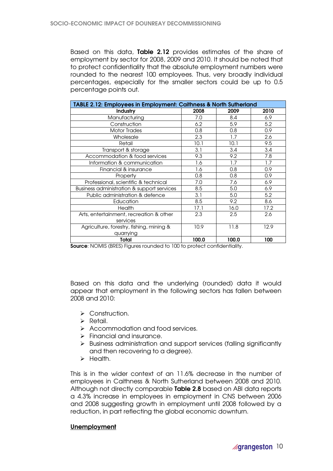Based on this data, Table 2.12 provides estimates of the share of employment by sector for 2008, 2009 and 2010. It should be noted that to protect confidentiality that the absolute employment numbers were rounded to the nearest 100 employees. Thus, very broadly individual percentages, especially for the smaller sectors could be up to 0.5 percentage points out.

| TABLE 2.12: Employees in Employment: Caithness & North Sutherland |       |       |      |  |  |
|-------------------------------------------------------------------|-------|-------|------|--|--|
| <b>Industry</b>                                                   | 2008  | 2009  | 2010 |  |  |
| Manufacturing                                                     | 7.0   | 8.4   | 6.9  |  |  |
| Construction                                                      | 6.2   | 5.9   | 5.2  |  |  |
| <b>Motor Trades</b>                                               | 0.8   | 0.8   | 0.9  |  |  |
| Wholesale                                                         | 2.3   | 1.7   | 2.6  |  |  |
| Retail                                                            | 10.1  | 10.1  | 9.5  |  |  |
| Transport & storage                                               | 3.1   | 3.4   | 3.4  |  |  |
| Accommodation & food services                                     | 9.3   | 9.2   | 7.8  |  |  |
| Information & communication                                       | 1.6   | 1.7   | 1.7  |  |  |
| Financial & insurance                                             | 1.6   | 0.8   | 0.9  |  |  |
| Property                                                          | 0.8   | 0.8   | 0.9  |  |  |
| Professional, scientific & technical                              | 7.0   | 7.6   | 6.9  |  |  |
| Business administration & support services                        | 8.5   | 5.0   | 6.9  |  |  |
| Public administration & defence                                   | 3.1   | 5.0   | 5.2  |  |  |
| Education                                                         | 8.5   | 9.2   | 8.6  |  |  |
| Health                                                            | 17.1  | 16.0  | 17.2 |  |  |
| Arts, entertainment, recreation & other                           | 2.3   | 2.5   | 2.6  |  |  |
| services                                                          |       |       |      |  |  |
| Agriculture, forestry, fishing, mining &                          | 10.9  | 11.8  | 12.9 |  |  |
| quarrying                                                         |       |       |      |  |  |
| Total                                                             | 100.0 | 100.0 | 100  |  |  |

Source: NOMIS (BRES) Figures rounded to 100 to protect confidentiality.

Based on this data and the underlying (rounded) data it would appear that employment in the following sectors has fallen between 2008 and 2010:

- > Construction.
- $\triangleright$  Retail.
- Accommodation and food services.
- $\triangleright$  Financial and insurance.
- $\triangleright$  Business administration and support services (falling significantly and then recovering to a degree).
- $\triangleright$  Health.

This is in the wider context of an 11.6% decrease in the number of employees in Caithness & North Sutherland between 2008 and 2010. Although not directly comparable Table 2.8 based on ABI data reports a 4.3% increase in employees in employment in CNS between 2006 and 2008 suggesting growth in employment until 2008 followed by a reduction, in part reflecting the global economic downturn.

# Unemployment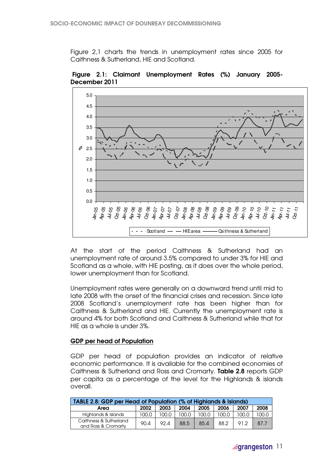Figure 2,1 charts the trends in unemployment rates since 2005 for Caithness & Sutherland, HIE and Scotland.



 Figure 2.1: Claimant Unemployment Rates (%) January 2005- December 2011

At the start of the period Caithness & Sutherland had an unemployment rate of around 3.5% compared to under 3% for HIE and Scotland as a whole, with HIE posting, as it does over the whole period, lower unemployment than for Scotland.

Unemployment rates were generally on a downward trend until mid to late 2008 with the onset of the financial crises and recession. Since late 2008 Scotland's unemployment rate has been higher than for Caithness & Sutherland and HIE. Currently the unemployment rate is around 4% for both Scotland and Caithness & Sutherland while that for HIE as a whole is under 3%.

# GDP per head of Population

GDP per head of population provides an indicator of relative economic performance. It is available for the combined economies of Caithness & Sutherland and Ross and Cromarty. Table 2.8 reports GDP per capita as a percentage of the level for the Highlands & islands overall.

| TABLE 2.8: GDP per Head of Population (% of Highlands & Islands) |       |       |       |       |       |       |       |
|------------------------------------------------------------------|-------|-------|-------|-------|-------|-------|-------|
| Area                                                             | 2002  | 2003  | 2004  | 2005  | 2006  | 2007  | 2008  |
| Highlands & Islands                                              | 100.0 | 100.0 | 100.0 | 100.0 | 100.0 | 100.0 | 100.0 |
| Caithness & Sutherland<br>and Ross & Cromarty                    | 90.4  | 92.4  | 88.5  | 85.4  | 88.2  | 91.2  | 87.7  |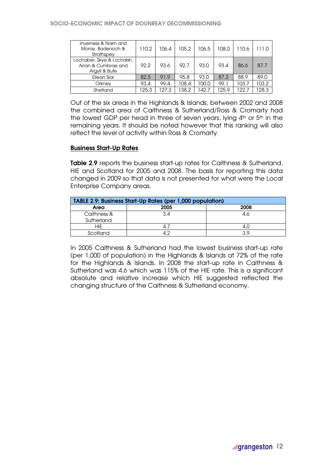| Inverness & Nairn and<br>Moray, Badenoch &<br>Strathspey           | 110.2 | 106.4 | 105.2 | 106.5 | 108.0 | 110.6 | 111.0 |
|--------------------------------------------------------------------|-------|-------|-------|-------|-------|-------|-------|
| Lochaber, Skye & Lochalsh,<br>Arran & Cumbrae and<br>Argyll & Bute | 92.2  | 93.6  | 92.7  | 93.0  | 93.4  | 86.6  | 87.7  |
| Eilean Siar                                                        | 82.5  | 91.9  | 95.8  | 93.0  | 87.3  | 88.9  | 89.0  |
| Orkney                                                             | 93.4  | 99.4  | 108.4 | 100.0 | 99.1  | 103.7 | 03.2  |
| Shetland                                                           | 125.3 | 127.3 | 38.2  | 142.7 | 125.9 | 122.7 | 28.3  |

Out of the six areas in the Highlands & Islands, between 2002 and 2008 the combined area of Caithness & Sutherland/Ross & Cromarty had the lowest GDP per head in three of seven years, lying  $4<sup>th</sup>$  or  $5<sup>th</sup>$  in the remaining years. It should be noted however that this ranking will also reflect the level of activity within Ross & Cromarty.

### Business Start-Up Rates

Table 2.9 reports the business start-up rates for Caithness & Sutherland, HIE and Scotland for 2005 and 2008. The basis for reporting this data changed in 2009 so that data is not presented for what were the Local Enterprise Company areas.

| TABLE 2.9: Business Start-Up Rates (per 1,000 population) |      |      |  |
|-----------------------------------------------------------|------|------|--|
| Area                                                      | 2005 | 2008 |  |
| Caithness &                                               | 3.4  | 4.6  |  |
| Sutherland                                                |      |      |  |
| HIE                                                       |      | 4.U  |  |
| Scotland                                                  |      | 3 Q  |  |

In 2005 Caithness & Sutherland had the lowest business start-up rate (per 1,000 of population) in the Highlands & Islands at 72% of the rate for the Highlands & Islands. In 2008 the start-up rate in Caithness & Sutherland was 4.6 which was 115% of the HIE rate. This is a significant absolute and relative increase which HIE suggested reflected the changing structure of the Caithness & Sutherland economy.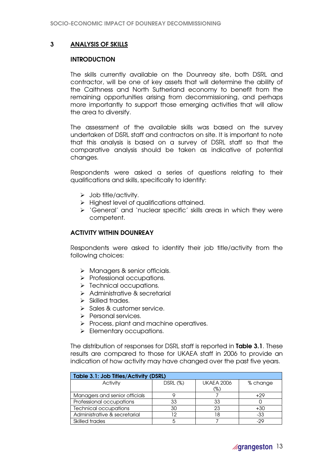# 3 ANALYSIS OF SKILLS

### **INTRODUCTION**

The skills currently available on the Dounreay site, both DSRL and contractor, will be one of key assets that will determine the ability of the Caithness and North Sutherland economy to benefit from the remaining opportunities arising from decommissioning, and perhaps more importantly to support those emerging activities that will allow the area to diversify.

The assessment of the available skills was based on the survey undertaken of DSRL staff and contractors on site. It is important to note that this analysis is based on a survey of DSRL staff so that the comparative analysis should be taken as indicative of potential changes.

Respondents were asked a series of questions relating to their qualifications and skills, specifically to identify:

- $\triangleright$  Job title/activity.
- $\triangleright$  Highest level of qualifications attained.
- 'General' and 'nuclear specific' skills areas in which they were competent.

# ACTIVITY WITHIN DOUNREAY

Respondents were asked to identify their job title/activity from the following choices:

- > Managers & senior officials.
- $\triangleright$  Professional occupations.
- > Technical occupations.
- > Administrative & secretarial
- $\triangleright$  Skilled trades.
- $\triangleright$  Sales & customer service.
- > Personal services.
- $\triangleright$  Process, plant and machine operatives.
- $\triangleright$  Elementary occupations.

The distribution of responses for DSRL staff is reported in Table 3.1. These results are compared to those for UKAEA staff in 2006 to provide an indication of how activity may have changed over the past five years.

| Table 3.1: Job Titles/Activity (DSRL) |          |                   |          |  |  |
|---------------------------------------|----------|-------------------|----------|--|--|
| Activity                              | DSRL (%) | <b>UKAEA 2006</b> | % change |  |  |
|                                       |          | (%)               |          |  |  |
| Managers and senior officials         |          |                   | $+29$    |  |  |
| Professional occupations              | 33       | 33                |          |  |  |
| <b>Technical occupations</b>          | 30       | 23                | $+30$    |  |  |
| Administrative & secretarial          | 12       | ۱8                | -33      |  |  |
| Skilled trades                        |          |                   | -29      |  |  |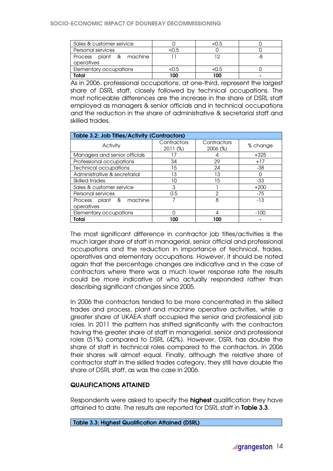| Sales & customer service              |      | <0.5 |  |
|---------------------------------------|------|------|--|
| Personal services                     | 0.5ء |      |  |
| Process plant & machine<br>operatives |      |      |  |
| Elementary occupations                | <0.5 | <0.5 |  |
| Total                                 | 100  | 100  |  |

As in 2006, professional occupations, at one-third, represent the largest share of DSRL staff, closely followed by technical occupations. The most noticeable differences are the increase in the share of DSRL staff employed as managers & senior officials and in technical occupations and the reduction in the share of administrative & secretarial staff and skilled trades.

| Table 3.2: Job Titles/Activity (Contractors) |                           |                        |          |  |  |
|----------------------------------------------|---------------------------|------------------------|----------|--|--|
| Activity                                     | Contractors<br>$2011$ (%) | Contractors<br>2006(%) | % change |  |  |
| Managers and senior officials                | 17                        |                        | $+325$   |  |  |
| Professional occupations                     | 34                        | 29                     | $+17$    |  |  |
| <b>Technical occupations</b>                 | 15                        | 24                     | -38      |  |  |
| Administrative & secretarial                 | 13                        | 13                     |          |  |  |
| Skilled trades                               | 10                        | 15                     | $-33$    |  |  |
| Sales & customer service                     | 3                         |                        | $+200$   |  |  |
| Personal services                            | 0.5                       | 2                      | $-75$    |  |  |
| Process plant & machine<br>operatives        |                           | 8                      | $-13$    |  |  |
| Elementary occupations                       |                           |                        | $-100$   |  |  |
| Total                                        | 100                       | 100                    |          |  |  |

The most significant difference in contractor job titles/activities is the much larger share of staff in managerial, senior official and professional occupations and the reduction in importance of technical, trades, operatives and elementary occupations. However, it should be noted again that the percentage changes are indicative and in the case of contractors where there was a much lower response rate the results could be more indicative of who actually responded rather than describing significant changes since 2005.

In 2006 the contractors tended to be more concentrated in the skilled trades and process, plant and machine operative activities, while a greater share of UKAEA staff occupied the senior and professional job roles. In 2011 the pattern has shifted significantly with the contractors having the greater share of staff in managerial, senior and professional roles (51%) compared to DSRL (42%). However, DSRL has double the share of staff in technical roles compared to the contractors. In 2006 their shares will almost equal. Finally, although the relative share of contractor staff in the skilled trades category, they still have double the share of DSRL staff, as was the case in 2006.

# QUALIFICATIONS ATTAINED

Respondents were asked to specify the **highest** qualification they have attained to date. The results are reported for DSRL staff in Table 3.3.

Table 3.3: Highest Qualification Attained (DSRL)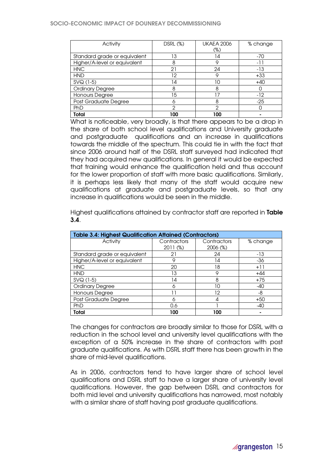#### SOCIO-ECONOMIC IMPACT OF DOUNREAY DECOMMISSIONING

| Activity                     | DSRL (%) | <b>UKAEA 2006</b> | % change |
|------------------------------|----------|-------------------|----------|
|                              |          | (%)               |          |
| Standard grade or equivalent | 13       | 14                | $-70$    |
| Higher/A-level or equivalent | 8        | 9                 | -11      |
| <b>HNC</b>                   | 21       | 24                | -13      |
| <b>HND</b>                   | 12       | Q                 | $+33$    |
| SVQ (1-5)                    | 14       | 10                | $+40$    |
| <b>Ordinary Degree</b>       | 8        | 8                 |          |
| Honours Degree               | 15       | 17                | $-12$    |
| Post Graduate Degree         | 6        | 8                 | $-25$    |
| PhD                          | ≘        | റ                 |          |
| <b>Total</b>                 | 100      | 100               |          |

What is noticeable, very broadly, is that there appears to be a drop in the share of both school level qualifications and University graduate and postgraduate qualifications and an increase in qualifications towards the middle of the spectrum. This could tie in with the fact that since 2006 around half of the DSRL staff surveyed had indicated that they had acquired new qualifications. In general it would be expected that training would enhance the qualification held and thus account for the lower proportion of staff with more basic qualifications. Similarly, it is perhaps less likely that many of the staff would acquire new qualifications at graduate and postgraduate levels, so that any increase in qualifications would be seen in the middle.

Highest qualifications attained by contractor staff are reported in Table 3.4.

| <b>Table 3.4: Highest Qualification Attained (Contractors)</b> |             |             |          |  |
|----------------------------------------------------------------|-------------|-------------|----------|--|
| Activity                                                       | Contractors | Contractors | % change |  |
|                                                                | 2011 (%)    | 2006 (%)    |          |  |
| Standard grade or equivalent                                   | 21          | 24          | -13      |  |
| Higher/A-level or equivalent                                   | 9           | 14          | $-36$    |  |
| <b>HNC</b>                                                     | 20          | 18          | $+11$    |  |
| <b>HND</b>                                                     | 13          | 9           | $+44$    |  |
| $SVQ(1-5)$                                                     | 14          | 8           | $+75$    |  |
| <b>Ordinary Degree</b>                                         | 6           | 10          | -40      |  |
| Honours Degree                                                 | ו ו         | 12          | -8       |  |
| Post Graduate Degree                                           | 6           | 4           | $+50$    |  |
| PhD                                                            | 0.6         |             | -40      |  |
| Total                                                          | 100         | 100         |          |  |

The changes for contractors are broadly similar to those for DSRL with a reduction in the school level and university level qualifications with the exception of a 50% increase in the share of contractors with post graduate qualifications. As with DSRL staff there has been growth in the share of mid-level qualifications.

As in 2006, contractors tend to have larger share of school level qualifications and DSRL staff to have a larger share of university level qualifications. However, the gap between DSRL and contractors for both mid level and university qualifications has narrowed, most notably with a similar share of staff having post graduate qualifications.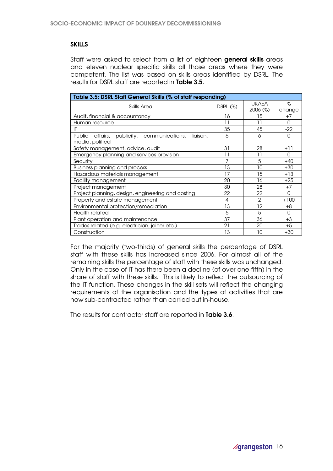# **SKILLS**

Staff were asked to select from a list of eighteen **general skills** areas and eleven nuclear specific skills all those areas where they were competent. The list was based on skills areas identified by DSRL. The results for DSRL staff are reported in Table 3.5.

| Table 3.5: DSRL Staff General Skills (% of staff responding) |          |               |        |  |  |  |
|--------------------------------------------------------------|----------|---------------|--------|--|--|--|
| Skills Area                                                  |          | <b>UKAEA</b>  | %      |  |  |  |
|                                                              | DSRL (%) | 2006 (%)      | change |  |  |  |
| Audit, financial & accountancy                               | 16       | 15            | $+7$   |  |  |  |
| Human resource                                               | 11       | 11            | 0      |  |  |  |
| IT                                                           | 35       | 45            | $-22$  |  |  |  |
| Public<br>affairs, publicity, communications,<br>liaison,    | 6        | 6             | 0      |  |  |  |
| media, political                                             |          |               |        |  |  |  |
| Safety management, advice, audit                             | 31       | 28            | +11    |  |  |  |
| Emergency planning and services provision                    | 11       | 11            | 0      |  |  |  |
| Security                                                     |          | 5             | +40    |  |  |  |
| Business planning and process                                | 13       | 10            | +30    |  |  |  |
| Hazardous materials management                               | 17       | 15            | $+13$  |  |  |  |
| <b>Facility management</b>                                   | 20       | 16            | $+25$  |  |  |  |
| Project management                                           | 30       | 28            | $+7$   |  |  |  |
| Project planning, design, engineering and costing            | 22       | 22            | O      |  |  |  |
| Property and estate management                               | 4        | $\mathcal{P}$ | $+100$ |  |  |  |
| Environmental protection/remediation                         | 13       | 12            | $+8$   |  |  |  |
| Health related                                               | 5        | 5             | O      |  |  |  |
| Plant operation and maintenance                              | 37       | 36            | $+3$   |  |  |  |
| Trades related (e.g. electrician, joiner etc.)               | 21       | 20            | $+5$   |  |  |  |
| Construction                                                 | 13       | 10            | $+30$  |  |  |  |

For the majority (two-thirds) of general skills the percentage of DSRL staff with these skills has increased since 2006. For almost all of the remaining skills the percentage of staff with these skills was unchanged. Only in the case of IT has there been a decline (of over one-fifth) in the share of staff with these skills. This is likely to reflect the outsourcing of the IT function. These changes in the skill sets will reflect the changing requirements of the organisation and the types of activities that are now sub-contracted rather than carried out in-house.

The results for contractor staff are reported in Table 3.6.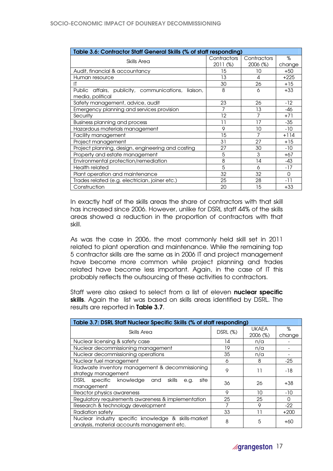| Table 3.6: Contractor Staff General Skills (% of staff responding) |             |             |        |
|--------------------------------------------------------------------|-------------|-------------|--------|
| Skills Area                                                        | Contractors | Contractors | %      |
|                                                                    | 2011 (%)    | 2006 (%)    | change |
| Audit, financial & accountancy                                     | 15          | 10          | $+50$  |
| Human resource                                                     | 13          | 4           | $+225$ |
|                                                                    | 30          | 26          | $+15$  |
| Public affairs, publicity, communications,<br>liaison.             | 8           | 6           | $+33$  |
| media, political                                                   |             |             |        |
| Safety management, advice, audit                                   | 23          | 26          | $-12$  |
| Emergency planning and services provision                          | 7           | 13          | -46    |
| Security                                                           | 12          | 7           | $+71$  |
| Business planning and process                                      | 11          | 17          | $-35$  |
| Hazardous materials management                                     | 9           | 10          | $-10$  |
| <b>Facility management</b>                                         | 15          | 7           | $+114$ |
| Project management                                                 | 31          | 27          | $+15$  |
| Project planning, design, engineering and costing                  | 27          | 30          | $-10$  |
| Property and estate management                                     | 5           | 3           | $+67$  |
| Environmental protection/remediation                               | 8           | 14          | -43    |
| <b>Health related</b>                                              | 5           | 6           | $-17$  |
| Plant operation and maintenance                                    | 32          | 32          | O      |
| Trades related (e.g. electrician, joiner etc.)                     | 25          | 28          | -11    |
| Construction                                                       | 20          | 15          | $+33$  |

In exactly half of the skills areas the share of contractors with that skill has increased since 2006. However, unlike for DSRL staff 44% of the skills areas showed a reduction in the proportion of contractors with that skill.

As was the case in 2006, the most commonly held skill set in 2011 related to plant operation and maintenance. While the remaining top 5 contractor skills are the same as in 2006 IT and project management have become more common while project planning and trades related have become less important. Again, in the case of IT this probably reflects the outsourcing of these activities to contractors.

Staff were also asked to select from a list of eleven **nuclear specific** skills. Again the list was based on skills areas identified by DSRL. The results are reported in Table 3.7.

| Table 3.7: DSRL Staff Nuclear Specific Skills (% of staff responding)                              |          |                          |              |  |
|----------------------------------------------------------------------------------------------------|----------|--------------------------|--------------|--|
| Skills Area                                                                                        | DSRL (%) | <b>UKAEA</b><br>2006 (%) | %<br>change  |  |
| Nuclear licensing & safety case                                                                    | 14       | n/a                      |              |  |
| Nuclear decommissioning management                                                                 | 19       | n/a                      |              |  |
| Nuclear decommissioning operations                                                                 | 35       | n/a                      |              |  |
| Nuclear fuel management                                                                            | 6        | 8                        | $-25$        |  |
| Radwaste inventory management & decommissioning<br>strategy management                             | 9        | 11                       | -18          |  |
| DSRL specific knowledge<br>site<br>skills<br>and<br>e.g.<br>management                             | 36       | 26                       | $+38$        |  |
| Reactor physics awareness                                                                          | 9        | 10                       | $-10$        |  |
| Regulatory requirements awareness & implementation                                                 | 25       | 25                       | <sup>0</sup> |  |
| Research & technology development                                                                  |          | 9                        | $-22$        |  |
| Radiation safety                                                                                   | 33       |                          | $+200$       |  |
| Nuclear industry specific knowledge & skills-market<br>analysis, material accounts management etc. | 8        | 5                        | +60          |  |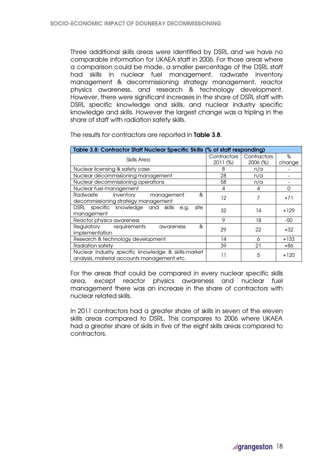Three additional skills areas were identified by DSRL and we have no comparable information for UKAEA staff in 2006. For those areas where a comparison could be made, a smaller percentage of the DSRL staff had skills in nuclear fuel management, radwaste inventory management & decommissioning strategy management, reactor physics awareness, and research & technology development. However, there were significant increases in the share of DSRL staff with DSRL specific knowledge and skills, and nuclear industry specific knowledge and skills. However the largest change was a tripling in the share of staff with radiation safety skills.

| Table 3.8: Contractor Staff Nuclear Specific Skills (% of staff responding) |             |             |        |  |  |
|-----------------------------------------------------------------------------|-------------|-------------|--------|--|--|
| Skills Area                                                                 | Contractors | Contractors | %      |  |  |
|                                                                             | 2011 (%)    | 2006 (%)    | change |  |  |
| Nuclear licensing & safety case                                             | 8           | n/a         |        |  |  |
| Nuclear decommissioning management                                          | 28          | n/a         |        |  |  |
| Nuclear decommissioning operations                                          | 58          | n/a         |        |  |  |
| Nuclear fuel management                                                     | 4           | 4           | O      |  |  |
| inventory<br>Radwaste<br>&<br>management                                    | $12 \,$     | 7           | $+71$  |  |  |
| decommissioning strategy management                                         |             |             |        |  |  |
| DSRL specific knowledge and skills<br>site<br>e.g.                          | 32          | 14          | $+129$ |  |  |
| management                                                                  |             |             |        |  |  |
| Reactor physics awareness                                                   | 9           | 18          | -50    |  |  |
| &<br>Regulatory requirements<br>awareness                                   | 29          | 22          | $+32$  |  |  |
| implementation                                                              |             |             |        |  |  |
| Research & technology development                                           | 14          | 6           | $+133$ |  |  |
| Radiation safety                                                            | 39          | 21          | +86    |  |  |
| Nuclear industry specific knowledge & skills-market                         | 11          | 5           | $+120$ |  |  |
| analysis, material accounts management etc.                                 |             |             |        |  |  |

The results for contractors are reported in Table 3.8.

For the areas that could be compared in every nuclear specific skills area, except reactor physics awareness and nuclear fuel management there was an increase in the share of contractors with nuclear related skills.

In 2011 contractors had a greater share of skills in seven of the eleven skills areas compared to DSRL. This compares to 2006 where UKAEA had a greater share of skills in five of the eight skills areas compared to contractors.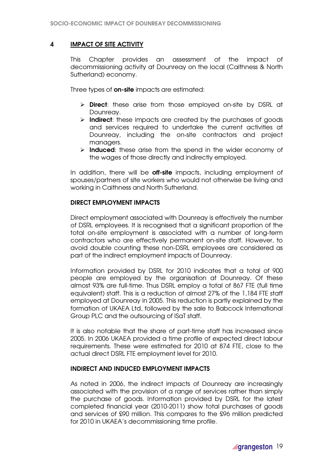# 4 IMPACT OF SITE ACTIVITY

This Chapter provides an assessment of the impact of decommissioning activity at Dounreay on the local (Caithness & North Sutherland) economy.

Three types of **on-site** impacts are estimated:

- $\triangleright$  **Direct**: these arise from those employed on-site by DSRL at Dounreay.
- $\triangleright$  Indirect: these impacts are created by the purchases of goods and services required to undertake the current activities at Dounreay, including the on-site contractors and project managers.
- $\triangleright$  Induced: these arise from the spend in the wider economy of the wages of those directly and indirectly employed.

In addition, there will be **off-site** impacts, including employment of spouses/partners of site workers who would not otherwise be living and working in Caithness and North Sutherland.

### DIRECT EMPLOYMENT IMPACTS

Direct employment associated with Dounreay is effectively the number of DSRL employees. It is recognised that a significant proportion of the total on-site employment is associated with a number of long-term contractors who are effectively permanent on-site staff. However, to avoid double counting these non-DSRL employees are considered as part of the indirect employment impacts of Dounreay.

Information provided by DSRL for 2010 indicates that a total of 900 people are employed by the organisation at Dounreay. Of these almost 93% are full-time. Thus DSRL employ a total of 867 FTE (full time equivalent) staff. This is a reduction of almost 27% of the 1,184 FTE staff employed at Dounreay in 2005. This reduction is partly explained by the formation of UKAEA Ltd, followed by the sale to Babcock International Group PLC and the outsourcing of ISaT staff.

It is also notable that the share of part-time staff has increased since 2005. In 2006 UKAEA provided a time profile of expected direct labour requirements. These were estimated for 2010 at 874 FTE, close to the actual direct DSRL FTE employment level for 2010.

# INDIRECT AND INDUCED EMPLOYMENT IMPACTS

As noted in 2006, the indirect impacts of Dounreay are increasingly associated with the provision of a range of services rather than simply the purchase of goods. Information provided by DSRL for the latest completed financial year (2010-2011) show total purchases of goods and services of £90 million. This compares to the £96 million predicted for 2010 in UKAEA's decommissioning time profile.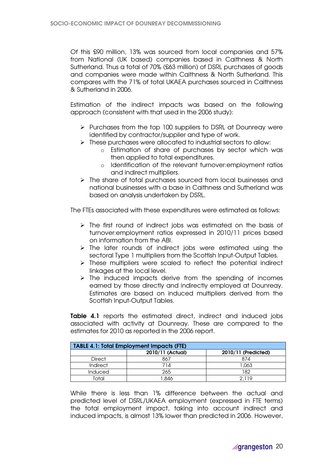Of this £90 million, 13% was sourced from local companies and 57% from National (UK based) companies based in Caithness & North Sutherland. Thus a total of 70% (£63 million) of DSRL purchases of goods and companies were made within Caithness & North Sutherland. This compares with the 71% of total UKAEA purchases sourced in Caithness & Sutherland in 2006.

Estimation of the indirect impacts was based on the following approach (consistent with that used in the 2006 study):

- $\triangleright$  Purchases from the top 100 suppliers to DSRL at Dounreay were identified by contractor/supplier and type of work.
- $\triangleright$  These purchases were allocated to industrial sectors to allow:
	- o Estimation of share of purchases by sector which was then applied to total expenditures.
	- o Identification of the relevant turnover:employment ratios and indirect multipliers.
- $\triangleright$  The share of total purchases sourced from local businesses and national businesses with a base in Caithness and Sutherland was based on analysis undertaken by DSRL.

The FTEs associated with these expenditures were estimated as follows:

- $\triangleright$  The first round of indirect jobs was estimated on the basis of turnover:employment ratios expressed in 2010/11 prices based on information from the ABI.
- $\triangleright$  The later rounds of indirect jobs were estimated using the sectoral Type 1 multipliers from the Scottish Input-Output Tables.
- $\triangleright$  These multipliers were scaled to reflect the potential indirect linkages at the local level.
- $\triangleright$  The induced impacts derive from the spending of incomes earned by those directly and indirectly employed at Dounreay. Estimates are based on induced multipliers derived from the Scottish Input-Output Tables.

Table 4.1 reports the estimated direct, indirect and induced jobs associated with activity at Dounreay. These are compared to the estimates for 2010 as reported in the 2006 report.

| <b>TABLE 4.1: Total Employment Impacts (FTE)</b> |                  |                     |  |
|--------------------------------------------------|------------------|---------------------|--|
|                                                  | 2010/11 (Actual) | 2010/11 (Predicted) |  |
| <b>Direct</b>                                    | 867              | 874                 |  |
| <b>Indirect</b>                                  | 714              | 1.063               |  |
| <b>Induced</b>                                   | 265              | 182                 |  |
| Total                                            | .846             | 2.119               |  |

While there is less than 1% difference between the actual and predicted level of DSRL/UKAEA employment (expressed in FTE terms) the total employment impact, taking into account indirect and induced impacts, is almost 13% lower than predicted in 2006. However,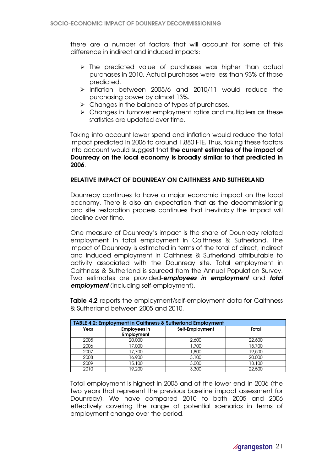there are a number of factors that will account for some of this difference in indirect and induced impacts:

- $\triangleright$  The predicted value of purchases was higher than actual purchases in 2010. Actual purchases were less than 93% of those predicted.
- $\triangleright$  Inflation between 2005/6 and 2010/11 would reduce the purchasing power by almost 13%.
- $\triangleright$  Changes in the balance of types of purchases.
- $\triangleright$  Changes in turnover: employment ratios and multipliers as these statistics are updated over time.

Taking into account lower spend and inflation would reduce the total impact predicted in 2006 to around 1,880 FTE. Thus, taking these factors into account would suggest that the current estimates of the impact of Dounreay on the local economy is broadly similar to that predicted in 2006.

# RELATIVE IMPACT OF DOUNREAY ON CAITHNESS AND SUTHERLAND

Dounreay continues to have a major economic impact on the local economy. There is also an expectation that as the decommissioning and site restoration process continues that inevitably the impact will decline over time.

One measure of Dounreay's impact is the share of Dounreay related employment in total employment in Caithness & Sutherland. The impact of Dounreay is estimated in terms of the total of direct, indirect and induced employment in Caithness & Sutherland attributable to activity associated with the Dounreay site. Total employment in Caithness & Sutherland is sourced from the Annual Population Survey. Two estimates are provided-employees in employment and total employment (including self-employment).

Table 4.2 reports the employment/self-employment data for Caithness & Sutherland between 2005 and 2010.

| <b>TABLE 4.2: Employment in Caithness &amp; Sutherland Employment</b> |                                   |                 |        |
|-----------------------------------------------------------------------|-----------------------------------|-----------------|--------|
| Year                                                                  | <b>Employees in</b><br>Employment | Self-Employment | Total  |
| 2005                                                                  | 20,000                            | 2,600           | 22,600 |
| 2006                                                                  | 17,000                            | 1,700           | 18,700 |
| 2007                                                                  | 17,700                            | 1,800           | 19,500 |
| 2008                                                                  | 16,900                            | 3,100           | 20,000 |
| 2009                                                                  | 15,100                            | 3,000           | 18,100 |
| 2010                                                                  | 19.200                            | 3,300           | 22,500 |

Total employment is highest in 2005 and at the lower end in 2006 (the two years that represent the previous baseline impact assessment for Dounreay). We have compared 2010 to both 2005 and 2006 effectively covering the range of potential scenarios in terms of employment change over the period.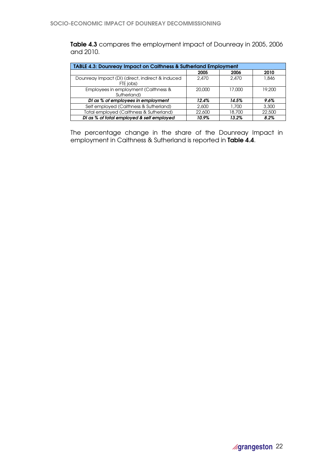Table 4.3 compares the employment impact of Dounreay in 2005, 2006 and 2010.

| <b>TABLE 4.3: Dounreay Impact on Caithness &amp; Sutherland Employment</b> |        |        |        |
|----------------------------------------------------------------------------|--------|--------|--------|
|                                                                            | 2005   | 2006   | 2010   |
| Dounreay Impact (DI) (direct, indirect & induced<br>FTE jobs)              | 2,470  | 2.470  | 1,846  |
| Employees in employment (Caithness &<br>Sutherland)                        | 20,000 | 17.000 | 19.200 |
| DI as % of employees in employment                                         | 12.4%  | 14.5%  | 9.6%   |
| Self employed (Caithness & Sutherland)                                     | 2,600  | 1,700  | 3,300  |
| Total employed (Caithness & Sutherland)                                    | 22,600 | 18,700 | 22,500 |
| DI as % of total employed & self employed                                  | 10.9%  | 13.2%  | 8.2%   |

The percentage change in the share of the Dounreay Impact in employment in Caithness & Sutherland is reported in Table 4.4.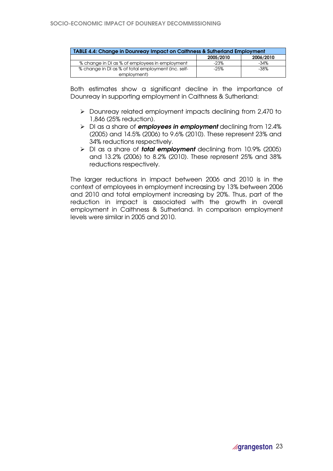| TABLE 4.4: Change in Dounreay Impact on Caithness & Sutherland Employment |           |           |  |
|---------------------------------------------------------------------------|-----------|-----------|--|
|                                                                           | 2005/2010 | 2006/2010 |  |
| % change in DI as % of employees in employment                            | $-23%$    | -34%      |  |
| % change in DI as % of total employment (inc. self-                       | $-25%$    | -38%      |  |
| employment)                                                               |           |           |  |

Both estimates show a significant decline in the importance of Dounreay in supporting employment in Caithness & Sutherland:

- Dounreay related employment impacts declining from 2,470 to 1,846 (25% reduction).
- $\triangleright$  DI as a share of **employees in employment** declining from 12.4% (2005) and 14.5% (2006) to 9.6% (2010). These represent 23% and 34% reductions respectively.
- $\triangleright$  DI as a share of **total employment** declining from 10.9% (2005) and 13.2% (2006) to 8.2% (2010). These represent 25% and 38% reductions respectively.

The larger reductions in impact between 2006 and 2010 is in the context of employees in employment increasing by 13% between 2006 and 2010 and total employment increasing by 20%. Thus, part of the reduction in impact is associated with the growth in overall employment in Caithness & Sutherland. In comparison employment levels were similar in 2005 and 2010.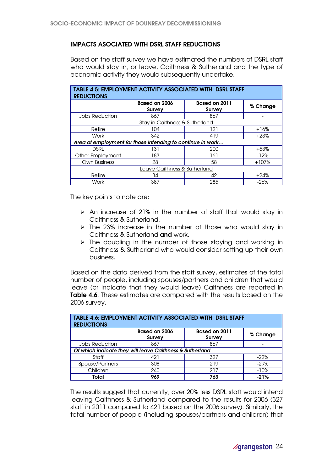# IMPACTS ASOCIATED WITH DSRL STAFF REDUCTIONS

Based on the staff survey we have estimated the numbers of DSRL staff who would stay in, or leave, Caithness & Sutherland and the type of economic activity they would subsequently undertake.

| <b>TABLE 4.5: EMPLOYMENT ACTIVITY ASSOCIATED WITH DSRL STAFF</b><br><b>REDUCTIONS</b> |                                                            |                                |          |
|---------------------------------------------------------------------------------------|------------------------------------------------------------|--------------------------------|----------|
|                                                                                       | Based on 2006<br><b>Survey</b>                             | Based on 2011<br><b>Survey</b> | % Change |
| <b>Jobs Reduction</b>                                                                 | 867                                                        | 867                            |          |
|                                                                                       | Stay in Caithness & Sutherland                             |                                |          |
| Retire                                                                                | 104                                                        | 121                            | $+16%$   |
| Work                                                                                  | 342                                                        | 419                            | $+23%$   |
|                                                                                       | Area of employment for those intending to continue in work |                                |          |
| <b>DSRL</b>                                                                           | 131                                                        | 200                            | $+53%$   |
| Other Employment                                                                      | 183                                                        | 161                            | $-12%$   |
| Own Business                                                                          | 28                                                         | 58                             | $+107%$  |
| Leave Caithness & Sutherland                                                          |                                                            |                                |          |
| Retire                                                                                | 34                                                         | 42                             | $+24%$   |
| Work                                                                                  | 387                                                        | 285                            | $-26%$   |

The key points to note are:

- $\triangleright$  An increase of 21% in the number of staff that would stay in Caithness & Sutherland.
- $\triangleright$  The 23% increase in the number of those who would stay in Caithness & Sutherland and work.
- $\triangleright$  The doubling in the number of those staying and working in Caithness & Sutherland who would consider setting up their own business.

Based on the data derived from the staff survey, estimates of the total number of people, including spouses/partners and children that would leave (or indicate that they would leave) Caithness are reported in **Table 4.6.** These estimates are compared with the results based on the 2006 survey.

| <b>REDUCTIONS</b>                                        | <b>TABLE 4.6: EMPLOYMENT ACTIVITY ASSOCIATED WITH DSRL STAFF</b> |                                |          |
|----------------------------------------------------------|------------------------------------------------------------------|--------------------------------|----------|
|                                                          | Based on 2006<br><b>Survey</b>                                   | Based on 2011<br><b>Survey</b> | % Change |
| <b>Jobs Reduction</b>                                    | 867                                                              | 867                            |          |
| Of which indicate they will leave Caithness & Sutherland |                                                                  |                                |          |
| Staff                                                    | 421                                                              | 327                            | $-22\%$  |
| Spouse/Partners                                          | 308                                                              | 219                            | $-29%$   |
| Children                                                 | 240                                                              | 217                            | $-10%$   |
| Total                                                    | 969                                                              | 763                            | $-21%$   |

The results suggest that currently, over 20% less DSRL staff would intend leaving Caithness & Sutherland compared to the results for 2006 (327 staff in 2011 compared to 421 based on the 2006 survey). Similarly, the total number of people (including spouses/partners and children) that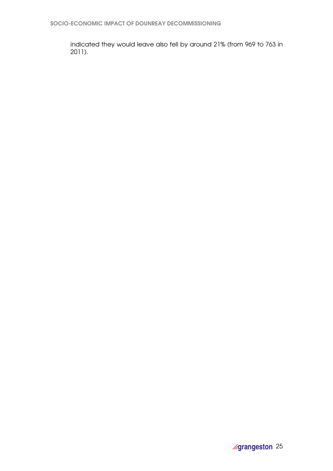indicated they would leave also fell by around 21% (from 969 to 763 in 2011).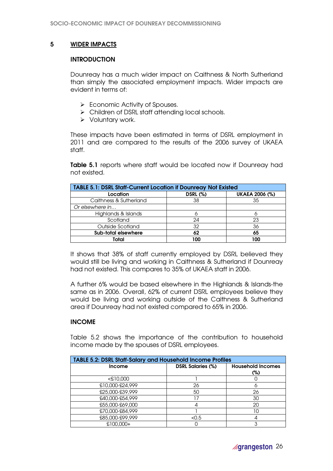# 5 WIDER IMPACTS

### **INTRODUCTION**

Dounreay has a much wider impact on Caithness & North Sutherland than simply the associated employment impacts. Wider impacts are evident in terms of:

- Economic Activity of Spouses.
- $\triangleright$  Children of DSRL staff attending local schools.
- $\triangleright$  Voluntary work.

These impacts have been estimated in terms of DSRL employment in 2011 and are compared to the results of the 2006 survey of UKAEA staff.

Table 5.1 reports where staff would be located now if Dounreay had not existed.

| <b>TABLE 5.1: DSRL Staff-Current Location if Dounreay Not Existed</b> |                 |                       |  |
|-----------------------------------------------------------------------|-----------------|-----------------------|--|
| Location                                                              | <b>DSRL (%)</b> | <b>UKAEA 2006 (%)</b> |  |
| Caithness & Sutherland                                                | 38              | 35                    |  |
| Or elsewhere in                                                       |                 |                       |  |
| Highlands & Islands                                                   |                 |                       |  |
| Scotland                                                              | 24              | 23                    |  |
| Outside Scotland                                                      | 32              | 36                    |  |
| Sub-total elsewhere                                                   | 62              | 65                    |  |
| Total                                                                 | 100             | 100                   |  |

It shows that 38% of staff currently employed by DSRL believed they would still be living and working in Caithness & Sutherland if Dounreay had not existed. This compares to 35% of UKAEA staff in 2006.

A further 6% would be based elsewhere in the Highlands & Islands-the same as in 2006. Overall, 62% of current DSRL employees believe they would be living and working outside of the Caithness & Sutherland area if Dounreay had not existed compared to 65% in 2006.

# INCOME

Table 5.2 shows the importance of the contribution to household income made by the spouses of DSRL employees.

| <b>TABLE 5.2: DSRL Staff-Salary and Household Income Profiles</b> |                          |                                    |  |
|-------------------------------------------------------------------|--------------------------|------------------------------------|--|
| <b>Income</b>                                                     | <b>DSRL Salaries (%)</b> | <b>Household Incomes</b><br>$(\%)$ |  |
| C00,013                                                           |                          |                                    |  |
| £10,000-£24,999                                                   | 26                       |                                    |  |
| £25,000-£39,999                                                   | 50                       | 26                                 |  |
| £40,000-£54,999                                                   |                          | 30                                 |  |
| £55,000-£69,000                                                   |                          | 20                                 |  |
| £70,000-£84,999                                                   |                          | 10                                 |  |
| £85,000-£99,999                                                   | < 0.5                    |                                    |  |
| $+000.000 +$                                                      |                          |                                    |  |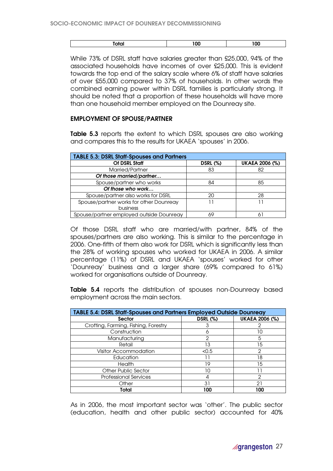| ____ | חחו<br>-- | $\sim$ |
|------|-----------|--------|
|      |           |        |

While 73% of DSRL staff have salaries greater than £25,000, 94% of the associated households have incomes of over £25,000. This is evident towards the top end of the salary scale where 6% of staff have salaries of over £55,000 compared to 37% of households. In other words the combined earning power within DSRL families is particularly strong. It should be noted that a proportion of these households will have more than one household member employed on the Dounreay site.

### EMPLOYMENT OF SPOUSE/PARTNER

**Table 5.3** reports the extent to which DSRL spouses are also working and compares this to the results for UKAEA 'spouses' in 2006.

| <b>TABLE 5.3: DSRL Staff-Spouses and Partners</b> |                 |                       |
|---------------------------------------------------|-----------------|-----------------------|
| Of DSRL Staff                                     | <b>DSRL (%)</b> | <b>UKAEA 2006 (%)</b> |
| Married/Partner                                   | 83              | 82                    |
| Of those married/partner                          |                 |                       |
| Spouse/partner who works                          | 84              | 85                    |
| Of those who work                                 |                 |                       |
| Spouse/partner also works for DSRL                | 20              | 28                    |
| Spouse/partner works for other Dounreay           |                 |                       |
| business                                          |                 |                       |
| Spouse/partner employed outside Dounreay          |                 | 6                     |

Of those DSRL staff who are married/with partner, 84% of the spouses/partners are also working. This is similar to the percentage in 2006. One-fifth of them also work for DSRL which is significantly less than the 28% of working spouses who worked for UKAEA in 2006. A similar percentage (11%) of DSRL and UKAEA 'spouses' worked for other 'Dounreay' business and a larger share (69% compared to 61%) worked for organisations outside of Dounreay.

Table 5.4 reports the distribution of spouses non-Dounreay based employment across the main sectors.

| TABLE 5.4: DSRL Staff-Spouses and Partners Employed Outside Dounreay |                 |                |
|----------------------------------------------------------------------|-----------------|----------------|
| <b>Sector</b>                                                        | <b>DSRL (%)</b> | UKAEA 2006 (%) |
| Crofting, Farming, Fishing, Forestry                                 |                 |                |
| Construction                                                         | n               | 10             |
| Manufacturing                                                        | 2               | 5              |
| Retail                                                               | 13              | 15             |
| <b>Visitor Accommodation</b>                                         | < 0.5           | 2              |
| Education                                                            |                 | 18             |
| <b>Health</b>                                                        | 19              | 15             |
| <b>Other Public Sector</b>                                           | 10              |                |
| <b>Professional Services</b>                                         |                 | 2              |
| Other                                                                | 31              | 21             |
| Total                                                                | 100             | 100            |

As in 2006, the most important sector was 'other'. The public sector (education, health and other public sector) accounted for 40%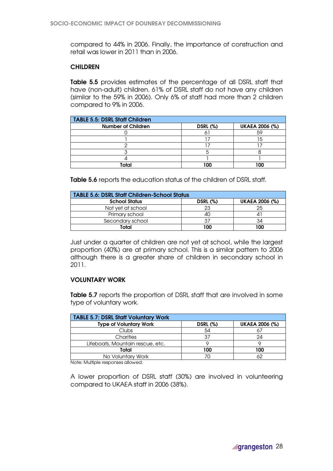compared to 44% in 2006. Finally, the importance of construction and retail was lower in 2011 than in 2006.

# **CHILDREN**

Table 5.5 provides estimates of the percentage of all DSRL staff that have (non-adult) children. 61% of DSRL staff do not have any children (similar to the 59% in 2006). Only 6% of staff had more than 2 children compared to 9% in 2006.

| TABLE 5.5: DSRL Staff Children |                 |                       |
|--------------------------------|-----------------|-----------------------|
| <b>Number of Children</b>      | <b>DSRL (%)</b> | <b>UKAEA 2006 (%)</b> |
|                                |                 |                       |
|                                |                 |                       |
|                                |                 |                       |
|                                |                 |                       |
|                                |                 |                       |
| Total                          |                 | nn                    |

Table 5.6 reports the education status of the children of DSRL staff.

| <b>TABLE 5.6: DSRL Staff Children-School Status</b> |                 |                       |
|-----------------------------------------------------|-----------------|-----------------------|
| <b>School Status</b>                                | <b>DSRL (%)</b> | <b>UKAEA 2006 (%)</b> |
| Not vet at school                                   | 23              | 25                    |
| Primary school                                      | 40              |                       |
| Secondary school                                    |                 | 34                    |
| Total                                               | າດດ             | 100                   |

Just under a quarter of children are not yet at school, while the largest proportion (40%) are at primary school. This is a similar pattern to 2006 although there is a greater share of children in secondary school in 2011.

# VOLUNTARY WORK

Table 5.7 reports the proportion of DSRL staff that are involved in some type of voluntary work.

| <b>TABLE 5.7: DSRL Staff Voluntary Work</b> |                 |                       |
|---------------------------------------------|-----------------|-----------------------|
| <b>Type of Voluntary Work</b>               | <b>DSRL (%)</b> | <b>UKAEA 2006 (%)</b> |
| Clubs                                       | 54              |                       |
| Charities                                   | 37              | 24                    |
| Lifeboats, Mountain rescue, etc.            |                 |                       |
| Total                                       | 100             | 100                   |
| No Voluntary Work                           |                 | ረባ                    |

Note: Multiple responses allowed.

A lower proportion of DSRL staff (30%) are involved in volunteering compared to UKAEA staff in 2006 (38%).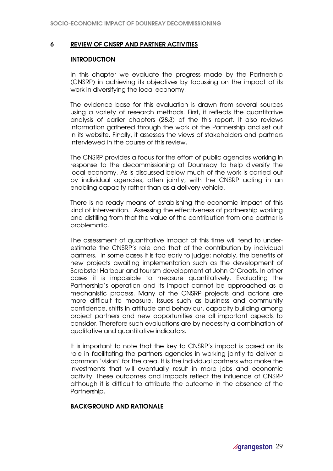### 6 REVIEW OF CNSRP AND PARTNER ACTIVITIES

#### **INTRODUCTION**

In this chapter we evaluate the progress made by the Partnership (CNSRP) in achieving its objectives by focussing on the impact of its work in diversifying the local economy.

The evidence base for this evaluation is drawn from several sources using a variety of research methods. First, it reflects the quantitative analysis of earlier chapters (2&3) of the this report. It also reviews information gathered through the work of the Partnership and set out in its website. Finally, it assesses the views of stakeholders and partners interviewed in the course of this review.

The CNSRP provides a focus for the effort of public agencies working in response to the decommissioning at Dounreay to help diversify the local economy. As is discussed below much of the work is carried out by individual agencies, often jointly, with the CNSRP acting in an enabling capacity rather than as a delivery vehicle.

There is no ready means of establishing the economic impact of this kind of intervention. Assessing the effectiveness of partnership working and distilling from that the value of the contribution from one partner is problematic.

The assessment of quantitative impact at this time will tend to underestimate the CNSRP's role and that of the contribution by individual partners. In some cases it is too early to judge: notably, the benefits of new projects awaiting implementation such as the development of Scrabster Harbour and tourism development at John O'Groats. In other cases it is impossible to measure quantitatively. Evaluating the Partnership's operation and its impact cannot be approached as a mechanistic process. Many of the CNSRP projects and actions are more difficult to measure. Issues such as business and community confidence, shifts in attitude and behaviour, capacity building among project partners and new opportunities are all important aspects to consider. Therefore such evaluations are by necessity a combination of qualitative and quantitative indicators.

It is important to note that the key to CNSRP's impact is based on its role in facilitating the partners agencies in working jointly to deliver a common 'vision' for the area. It is the individual partners who make the investments that will eventually result in more jobs and economic activity. These outcomes and impacts reflect the influence of CNSRP although it is difficult to attribute the outcome in the absence of the Partnership.

### BACKGROUND AND RATIONALE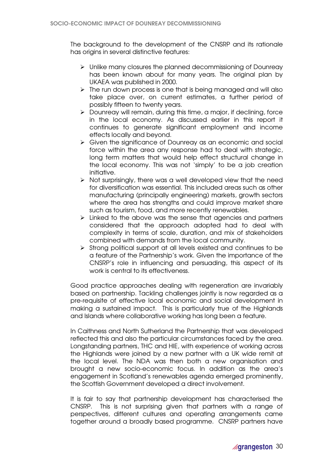The background to the development of the CNSRP and its rationale has origins in several distinctive features:

- $\triangleright$  Unlike many closures the planned decommissioning of Dounreay has been known about for many years. The original plan by UKAEA was published in 2000.
- $\triangleright$  The run down process is one that is being managed and will also take place over, on current estimates, a further period of possibly fifteen to twenty years.
- $\triangleright$  Dounreay will remain, during this time, a major, if declining, force in the local economy. As discussed earlier in this report it continues to generate significant employment and income effects locally and beyond.
- Given the significance of Dounreay as an economic and social force within the area any response had to deal with strategic, long term matters that would help effect structural change in the local economy. This was not 'simply' to be a job creation initiative.
- $\triangleright$  Not surprisingly, there was a well developed view that the need for diversification was essential. This included areas such as other manufacturing (principally engineering) markets, growth sectors where the area has strengths and could improve market share such as tourism, food, and more recently renewables.
- $\triangleright$  Linked to the above was the sense that agencies and partners considered that the approach adopted had to deal with complexity in terms of scale, duration, and mix of stakeholders combined with demands from the local community.
- $\triangleright$  Strong political support at all levels existed and continues to be a feature of the Partnership's work. Given the importance of the CNSRP's role in influencing and persuading, this aspect of its work is central to its effectiveness.

Good practice approaches dealing with regeneration are invariably based on partnership. Tackling challenges jointly is now regarded as a pre-requisite of effective local economic and social development in making a sustained impact. This is particularly true of the Highlands and Islands where collaborative working has long been a feature.

In Caithness and North Sutherland the Partnership that was developed reflected this and also the particular circumstances faced by the area. Longstanding partners, THC and HIE, with experience of working across the Highlands were joined by a new partner with a UK wide remit at the local level. The NDA was then both a new organisation and brought a new socio-economic focus. In addition as the area's engagement in Scotland's renewables agenda emerged prominently, the Scottish Government developed a direct involvement.

It is fair to say that partnership development has characterised the CNSRP. This is not surprising given that partners with a range of perspectives, different cultures and operating arrangements came together around a broadly based programme. CNSRP partners have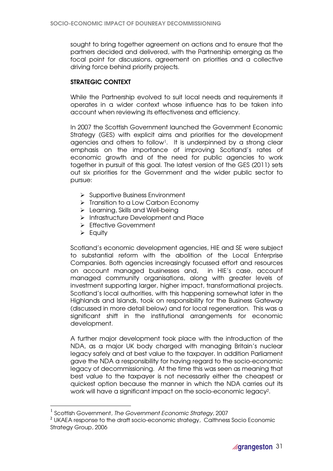sought to bring together agreement on actions and to ensure that the partners decided and delivered, with the Partnership emerging as the focal point for discussions, agreement on priorities and a collective driving force behind priority projects.

# STRATEGIC CONTEXT

While the Partnership evolved to suit local needs and requirements it operates in a wider context whose influence has to be taken into account when reviewing its effectiveness and efficiency.

In 2007 the Scottish Government launched the Government Economic Strategy (GES) with explicit aims and priorities for the development agencies and others to follow<sup>1</sup>. It is underpinned by a strong clear emphasis on the importance of improving Scotland's rates of economic growth and of the need for public agencies to work together in pursuit of this goal. The latest version of the GES (2011) sets out six priorities for the Government and the wider public sector to pursue:

- $\triangleright$  Supportive Business Environment
- $\triangleright$  Transition to a Low Carbon Economy
- > Learning, Skills and Well-being
- > Infrastructure Development and Place
- **Effective Government**
- $\triangleright$  Equity

 $\overline{a}$ 

Scotland's economic development agencies, HIE and SE were subject to substantial reform with the abolition of the Local Enterprise Companies. Both agencies increasingly focussed effort and resources on account managed businesses and, in HIE's case, account managed community organisations, along with greater levels of investment supporting larger, higher impact, transformational projects. Scotland's local authorities, with this happening somewhat later in the Highlands and Islands, took on responsibility for the Business Gateway (discussed in more detail below) and for local regeneration. This was a significant shift in the institutional arrangements for economic development.

A further major development took place with the introduction of the NDA, as a major UK body charged with managing Britain's nuclear legacy safely and at best value to the taxpayer. In addition Parliament gave the NDA a responsibility for having regard to the socio-economic legacy of decommissioning. At the time this was seen as meaning that best value to the taxpayer is not necessarily either the cheapest or quickest option because the manner in which the NDA carries out its work will have a significant impact on the socio-economic legacy<sup>2</sup> .

 $^{\rm 1}$  Scottish Government, The Government Economic Strategy, 2007

<sup>&</sup>lt;sup>2</sup> UKAEA response to the draft socio-economic strategy, Caithness Socio Economic Strategy Group, 2006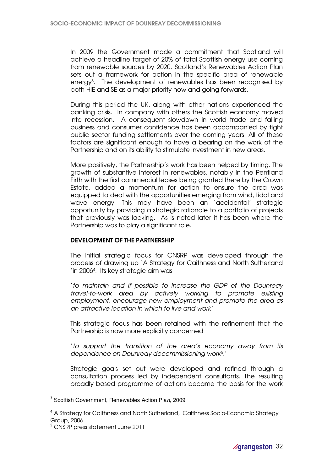In 2009 the Government made a commitment that Scotland will achieve a headline target of 20% of total Scottish energy use coming from renewable sources by 2020. Scotland's Renewables Action Plan sets out a framework for action in the specific area of renewable energy<sup>3</sup> . The development of renewables has been recognised by both HIE and SE as a major priority now and going forwards.

During this period the UK, along with other nations experienced the banking crisis. In company with others the Scottish economy moved into recession. A consequent slowdown in world trade and falling business and consumer confidence has been accompanied by tight public sector funding settlements over the coming years. All of these factors are significant enough to have a bearing on the work of the Partnership and on its ability to stimulate investment in new areas.

More positively, the Partnership's work has been helped by timing. The growth of substantive interest in renewables, notably in the Pentland Firth with the first commercial leases being granted there by the Crown Estate, added a momentum for action to ensure the area was equipped to deal with the opportunities emerging from wind, tidal and wave energy. This may have been an 'accidental' strategic opportunity by providing a strategic rationale to a portfolio of projects that previously was lacking. As is noted later it has been where the Partnership was to play a significant role.

# DEVELOPMENT OF THE PARTNERSHIP

The initial strategic focus for CNSRP was developed through the process of drawing up 'A Strategy for Caithness and North Sutherland 'in 2006<sup>4</sup> . Its key strategic aim was

'to maintain and if possible to increase the GDP of the Dounreay travel-to-work area by actively working to promote existing employment, encourage new employment and promote the area as an attractive location in which to live and work'

This strategic focus has been retained with the refinement that the Partnership is now more explicitly concerned

'to support the transition of the area's economy away from its dependence on Dounreay decommissioning work<sup>5</sup> .'

Strategic goals set out were developed and refined through a consultation process led by independent consultants. The resulting broadly based programme of actions became the basis for the work

 $\overline{a}$ 

<sup>&</sup>lt;sup>3</sup> Scottish Government, Renewables Action Plan, 2009

<sup>4</sup> A Strategy for Caithness and North Sutherland, Caithness Socio-Economic Strategy Group, 2006

<sup>5</sup> CNSRP press statement June 2011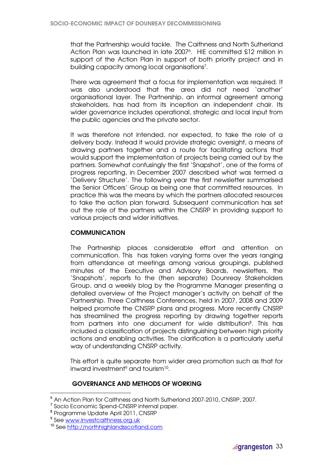that the Partnership would tackle. The Caithness and North Sutherland Action Plan was launched in late 2007<sup>6</sup> . HIE committed £12 million in support of the Action Plan in support of both priority project and in building capacity among local organisations<sup>7</sup> .

There was agreement that a focus for implementation was required. It was also understood that the area did not need 'another' organisational layer. The Partnership, an informal agreement among stakeholders, has had from its inception an independent chair. Its wider governance includes operational, strategic and local input from the public agencies and the private sector.

It was therefore not intended, nor expected, to take the role of a delivery body. Instead it would provide strategic oversight, a means of drawing partners together and a route for facilitating actions that would support the implementation of projects being carried out by the partners. Somewhat confusingly the first 'Snapshot', one of the forms of progress reporting, in December 2007 described what was termed a 'Delivery Structure'. The following year the first newsletter summarised the Senior Officers' Group as being one that committed resources. In practice this was the means by which the partners allocated resources to take the action plan forward. Subsequent communication has set out the role of the partners within the CNSRP in providing support to various projects and wider initiatives.

# **COMMUNICATION**

The Partnership places considerable effort and attention on communication. This has taken varying forms over the years ranging from attendance at meetings among various groupings, published minutes of the Executive and Advisory Boards, newsletters, the 'Snapshots', reports to the (then separate) Dounreay Stakeholders Group, and a weekly blog by the Programme Manager presenting a detailed overview of the Project manager's activity on behalf of the Partnership. Three Caithness Conferences, held in 2007, 2008 and 2009 helped promote the CNSRP plans and progress. More recently CNSRP has streamlined the progress reporting by drawing together reports from partners into one document for wide distribution<sup>8</sup> . This has included a classification of projects distinguishing between high priority actions and enabling activities. The clarification is a particularly useful way of understanding CNSRP activity.

This effort is quite separate from wider area promotion such as that for inward investment $\sp{9}$  and tourism $\sp{10}$ .

# GOVERNANCE AND METHODS OF WORKING

 $\overline{a}$ 

<sup>6</sup> An Action Plan for Caithness and North Sutherland 2007-2010, CNSRP, 2007.

<sup>&</sup>lt;sup>7</sup> Socio Economic Spend-CNSRP internal paper.

<sup>8</sup> Programme Update April 2011, CNSRP

<sup>&</sup>lt;sup>9</sup> See www.investcaithness.org.uk

<sup>10</sup> See http://northhighlandsscotland.com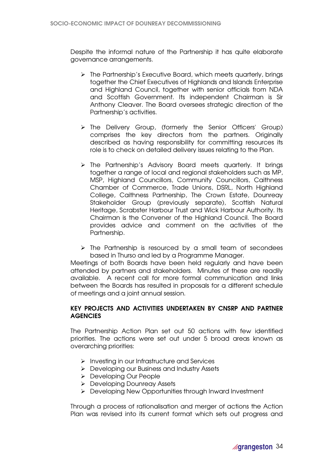Despite the informal nature of the Partnership it has quite elaborate governance arrangements.

- > The Partnership's Executive Board, which meets quarterly, brings together the Chief Executives of Highlands and Islands Enterprise and Highland Council, together with senior officials from NDA and Scottish Government. Its independent Chairman is Sir Anthony Cleaver. The Board oversees strategic direction of the Partnership's activities.
- The Delivery Group, (formerly the Senior Officers' Group) comprises the key directors from the partners. Originally described as having responsibility for committing resources its role is to check on detailed delivery issues relating to the Plan.
- > The Partnership's Advisory Board meets quarterly. It brings together a range of local and regional stakeholders such as MP, MSP, Highland Councillors, Community Councillors, Caithness Chamber of Commerce, Trade Unions, DSRL, North Highland College, Caithness Partnership, The Crown Estate, Dounreay Stakeholder Group (previously separate), Scottish Natural Heritage, Scrabster Harbour Trust and Wick Harbour Authority. Its Chairman is the Convener of the Highland Council. The Board provides advice and comment on the activities of the Partnership.
- $\triangleright$  The Partnership is resourced by a small team of secondees based in Thurso and led by a Programme Manager.

Meetings of both Boards have been held regularly and have been attended by partners and stakeholders. Minutes of these are readily available. A recent call for more formal communication and links between the Boards has resulted in proposals for a different schedule of meetings and a joint annual session.

# KEY PROJECTS AND ACTIVITIES UNDERTAKEN BY CNSRP AND PARTNER **AGENCIES**

The Partnership Action Plan set out 50 actions with few identified priorities. The actions were set out under 5 broad areas known as overarching priorities:

- $\triangleright$  Investing in our Infrastructure and Services
- Developing our Business and Industry Assets
- Developing Our People
- Developing Dounreay Assets
- > Developing New Opportunities through Inward Investment

Through a process of rationalisation and merger of actions the Action Plan was revised into its current format which sets out progress and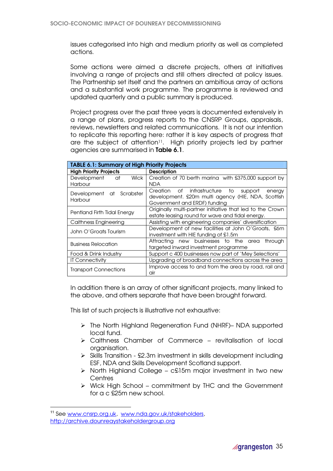issues categorised into high and medium priority as well as completed actions.

Some actions were aimed a discrete projects, others at initiatives involving a range of projects and still others directed at policy issues. The Partnership set itself and the partners an ambitious array of actions and a substantial work programme. The programme is reviewed and updated quarterly and a public summary is produced.

Project progress over the past three years is documented extensively in a range of plans, progress reports to the CNSRP Groups, appraisals, reviews, newsletters and related communications. It is not our intention to replicate this reporting here: rather it is key aspects of progress that are the subject of attention<sup>11</sup>. High priority projects led by partner agencies are summarised in Table 6.1.

| <b>TABLE 6.1: Summary of High Priority Projects</b>                                                                                         |                                                                                                                                       |  |
|---------------------------------------------------------------------------------------------------------------------------------------------|---------------------------------------------------------------------------------------------------------------------------------------|--|
| <b>High Priority Projects</b>                                                                                                               | <b>Description</b>                                                                                                                    |  |
| <b>Wick</b><br>Development at<br>Harbour                                                                                                    | Creation of 70 berth marina with £375,000 support by<br><b>NDA</b>                                                                    |  |
| at Scrabster<br>Development<br>Harbour                                                                                                      | Creation of infrastructure to support<br>energy<br>development. £20m multi agency (HIE, NDA, Scottish<br>Government and ERDF) funding |  |
| Originally multi-partner initiative that led to the Crown<br>Pentland Firth Tidal Energy<br>estate leasing round for wave and tidal energy. |                                                                                                                                       |  |
| Assisting with engineering companies' diversification<br>Caithness Engineering                                                              |                                                                                                                                       |  |
| John O'Groats Tourism                                                                                                                       | Development of new facilities at John O'Groats, £6m<br>investment with HIE funding of £1.5m                                           |  |
| <b>Business Relocation</b>                                                                                                                  | Attracting new businesses to the area<br>through<br>targeted inward investment programme                                              |  |
| Food & Drink Industry                                                                                                                       | Support c 400 businesses now part of 'Mey Selections'                                                                                 |  |
| <b>IT Connectivity</b>                                                                                                                      | Upgrading of broadband connections across the area                                                                                    |  |
| Improve access to and from the area by road, rail and<br><b>Transport Connections</b><br>air                                                |                                                                                                                                       |  |

In addition there is an array of other significant projects, many linked to the above, and others separate that have been brought forward.

This list of such projects is illustrative not exhaustive:

- The North Highland Regeneration Fund (NHRF)– NDA supported local fund.
- $\triangleright$  Caithness Chamber of Commerce revitalisation of local organisation.
- $\triangleright$  Skills Transition £2.3m investment in skills development including ESF, NDA and Skills Development Scotland support.
- $\triangleright$  North Highland College c£15m major investment in two new **Centres**
- Wick High School commitment by THC and the Government for a c £25m new school.

 $\overline{a}$ 

<sup>11</sup> See www.cnsrp.org.uk, www.nda.gov.uk/stakeholders, http://archive.dounreaystakeholdergroup.org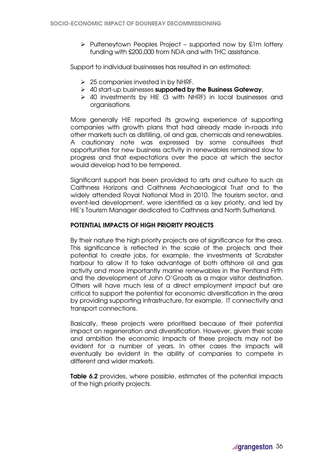$\triangleright$  Pulteneytown Peoples Project – supported now by £1m lottery funding with £200,000 from NDA and with THC assistance.

Support to individual businesses has resulted in an estimated:

- $\geq$  25 companies invested in by NHRF.
- $\triangleright$  40 start-up businesses supported by the Business Gateway.
- $\triangleright$  40 investments by HIE (3 with NHRF) in local businesses and organisations.

More generally HIE reported its growing experience of supporting companies with growth plans that had already made in-roads into other markets such as distilling, oil and gas, chemicals and renewables. A cautionary note was expressed by some consultees that opportunities for new business activity in renewables remained slow to progress and that expectations over the pace at which the sector would develop had to be tempered.

Significant support has been provided to arts and culture to such as Caithness Horizons and Caithness Archaeological Trust and to the widely attended Royal National Mod in 2010. The tourism sector, and event-led development, were identified as a key priority, and led by HIE's Tourism Manager dedicated to Caithness and North Sutherland.

# POTENTIAL IMPACTS OF HIGH PRIORITY PROJECTS

By their nature the high priority projects are of significance for the area. This significance is reflected in the scale of the projects and their potential to create jobs, for example, the investments at Scrabster harbour to allow it to take advantage of both offshore oil and gas activity and more importantly marine renewables in the Pentland Firth and the development of John O'Groats as a major visitor destination. Others will have much less of a direct employment impact but are critical to support the potential for economic diversification in the area by providing supporting infrastructure, for example, IT connectivity and transport connections.

Basically, these projects were prioritised because of their potential impact on regeneration and diversification. However, given their scale and ambition the economic impacts of these projects may not be evident for a number of years. In other cases the impacts will eventually be evident in the ability of companies to compete in different and wider markets.

Table 6.2 provides, where possible, estimates of the potential impacts of the high priority projects.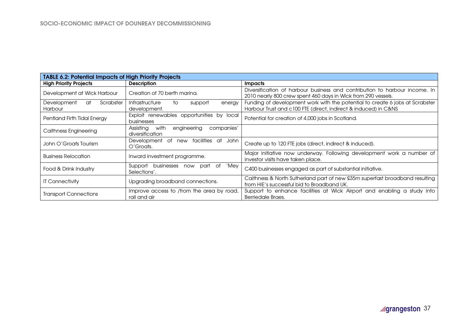| <b>TABLE 6.2: Potential Impacts of High Priority Projects</b> |                                                                   |                                                                                                                                                 |
|---------------------------------------------------------------|-------------------------------------------------------------------|-------------------------------------------------------------------------------------------------------------------------------------------------|
| <b>High Priority Projects</b>                                 | <b>Description</b>                                                | <b>Impacts</b>                                                                                                                                  |
| Development at Wick Harbour                                   | Creation of 70 berth marina.                                      | Diversification of harbour business and contribution to harbour income. In<br>2010 nearly 800 crew spent 460 days in Wick from 290 vessels.     |
| Scrabster<br>Development<br>at<br>Harbour                     | Infrastructure<br>to<br>support<br>energy<br>development.         | Funding of development work with the potential to create 6 jobs at Scrabster<br>Harbour Trust and c100 FTE (direct, indirect & induced) in C&NS |
| Pentland Firth Tidal Energy                                   | Exploit renewables opportunities by local<br>businesses           | Potential for creation of 4,000 jobs in Scotland.                                                                                               |
| Caithness Engineering                                         | with<br>Assisting<br>engineering<br>companies'<br>diversification |                                                                                                                                                 |
| John O'Groats Tourism                                         | Development<br>facilities at<br>of<br>John<br>new<br>O'Groats.    | Create up to 120 FTE jobs (direct, indirect & induced).                                                                                         |
| <b>Business Relocation</b>                                    | Inward investment programme.                                      | Major initiative now underway. Following development work a number of<br>investor visits have taken place.                                      |
| Food & Drink Industry                                         | `Mey<br>businesses now part<br>of<br>Support<br>Selections'.      | C400 businesses engaged as part of substantial initiative.                                                                                      |
| <b>IT Connectivity</b>                                        | Upgrading broadband connections.                                  | Caithness & North Sutherland part of new £35m superfast broadband resulting<br>from HIE's successful bid to Broadband UK.                       |
| <b>Transport Connections</b>                                  | Improve access to /from the area by road,<br>rail and air         | Support to enhance facilities at Wick Airport and enabling a study into<br>Berriedale Braes.                                                    |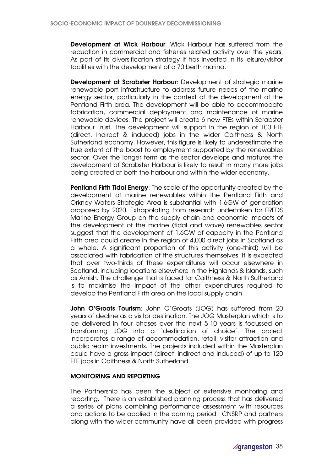Development at Wick Harbour: Wick Harbour has suffered from the reduction in commercial and fisheries related activity over the years. As part of its diversification strategy it has invested in its leisure/visitor facilities with the development of a 70 berth marina.

Development at Scrabster Harbour: Development of strategic marine renewable port infrastructure to address future needs of the marine energy sector, particularly in the context of the development of the Pentland Firth area. The development will be able to accommodate fabrication, commercial deployment and maintenance of marine renewable devices. The project will create 6 new FTEs within Scrabster Harbour Trust. The development will support in the region of 100 FTE (direct, indirect & induced) jobs in the wider Caithness & North Sutherland economy. However, this figure is likely to underestimate the true extent of the boost to employment supported by the renewables sector. Over the longer term as the sector develops and matures the development of Scrabster Harbour is likely to result in many more jobs being created at both the harbour and within the wider economy.

Pentland Firth Tidal Energy: The scale of the opportunity created by the development of marine renewables within the Pentland Firth and Orkney Waters Strategic Area is substantial with 1.6GW of generation proposed by 2020. Extrapolating from research undertaken for FREDS Marine Energy Group on the supply chain and economic impacts of the development of the marine (tidal and wave) renewables sector suggest that the development of 1.6GW of capacity in the Pentland Firth area could create in the region of 4,000 direct jobs in Scotland as a whole. A significant proportion of this activity (one-third) will be associated with fabrication of the structures themselves. It is expected that over two-thirds of these expenditures will occur elsewhere in Scotland, including locations elsewhere in the Highlands & Islands, such as Arnish. The challenge that is faced for Caithness & North Sutherland is to maximise the impact of the other expenditures required to develop the Pentland Firth area on the local supply chain.

John O'Groats Tourism: John O'Groats (JOG) has suffered from 20 years of decline as a visitor destination. The JOG Masterplan which is to be delivered in four phases over the next 5-10 years is focussed on transforming JOG into a 'destination of choice'. The project incorporates a range of accommodation, retail, visitor attraction and public realm investments. The projects included within the Masterplan could have a gross impact (direct, indirect and induced) of up to 120 FTE jobs in Caithness & North Sutherland.

# MONITORING AND REPORTING

The Partnership has been the subject of extensive monitoring and reporting. There is an established planning process that has delivered a series of plans combining performance assessment with resources and actions to be applied in the coming period. CNSRP and partners along with the wider community have all been provided with progress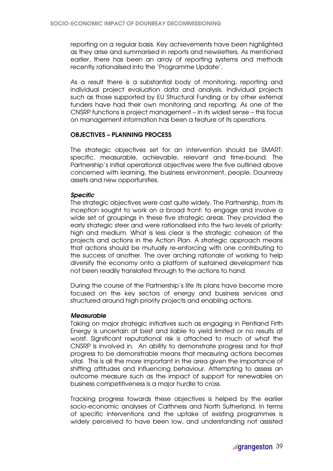reporting on a regular basis. Key achievements have been highlighted as they arise and summarised in reports and newsletters. As mentioned earlier, there has been an array of reporting systems and methods recently rationalised into the 'Programme Update'.

As a result there is a substantial body of monitoring, reporting and individual project evaluation data and analysis. Individual projects such as those supported by EU Structural Funding or by other external funders have had their own monitoring and reporting. As one of the CNSRP functions is project management – in its widest sense – this focus on management information has been a feature of its operations.

### OBJECTIVES – PLANNING PROCESS

The strategic objectives set for an intervention should be SMART: specific, measurable, achievable, relevant and time-bound. The Partnership's initial operational objectives were the five outlined above concerned with learning, the business environment, people, Dounreay assets and new opportunities.

### Specific

The strategic objectives were cast quite widely. The Partnership, from its inception sought to work on a broad front: to engage and involve a wide set of groupings in these five strategic areas. They provided the early strategic steer and were rationalised into the two levels of priority: high and medium. What is less clear is the strategic cohesion of the projects and actions in the Action Plan. A strategic approach means that actions should be mutually re-enforcing with one contributing to the success of another. The over arching rationale of working to help diversify the economy onto a platform of sustained development has not been readily translated through to the actions to hand.

During the course of the Partnership's life its plans have become more focused on the key sectors of energy and business services and structured around high priority projects and enabling actions.

#### **Measurable**

Taking on major strategic initiatives such as engaging in Pentland Firth Energy is uncertain at best and liable to yield limited or no results at worst. Significant reputational risk is attached to much of what the CNSRP is involved in. An ability to demonstrate progress and for that progress to be demonstrable means that measuring actions becomes vital. This is all the more important in the area given the importance of shifting attitudes and influencing behaviour. Attempting to assess an outcome measure such as the impact of support for renewables on business competitiveness is a major hurdle to cross.

Tracking progress towards these objectives is helped by the earlier socio-economic analyses of Caithness and North Sutherland. In terms of specific interventions and the uptake of existing programmes is widely perceived to have been low, and understanding not assisted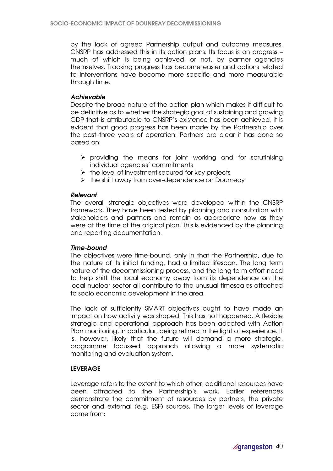by the lack of agreed Partnership output and outcome measures. CNSRP has addressed this in its action plans. Its focus is on progress – much of which is being achieved, or not, by partner agencies themselves. Tracking progress has become easier and actions related to interventions have become more specific and more measurable through time.

# Achievable

Despite the broad nature of the action plan which makes it difficult to be definitive as to whether the strategic goal of sustaining and growing GDP that is attributable to CNSRP's existence has been achieved, it is evident that good progress has been made by the Partnership over the past three years of operation. Partners are clear it has done so based on:

- $\triangleright$  providing the means for joint working and for scrutinising individual agencies' commitments
- $\triangleright$  the level of investment secured for key projects
- $\triangleright$  the shift away from over-dependence on Dounreay

# Relevant

The overall strategic objectives were developed within the CNSRP framework. They have been tested by planning and consultation with stakeholders and partners and remain as appropriate now as they were at the time of the original plan. This is evidenced by the planning and reporting documentation.

# Time-bound

The objectives were time-bound, only in that the Partnership, due to the nature of its initial funding, had a limited lifespan. The long term nature of the decommissioning process, and the long term effort need to help shift the local economy away from its dependence on the local nuclear sector all contribute to the unusual timescales attached to socio economic development in the area.

The lack of sufficiently SMART objectives ought to have made an impact on how activity was shaped. This has not happened. A flexible strategic and operational approach has been adopted with Action Plan monitoring, in particular, being refined in the light of experience. It is, however, likely that the future will demand a more strategic, programme focussed approach allowing a more systematic monitoring and evaluation system.

# LEVERAGE

Leverage refers to the extent to which other, additional resources have been attracted to the Partnership's work. Earlier references demonstrate the commitment of resources by partners, the private sector and external (e.g. ESF) sources. The larger levels of leverage come from: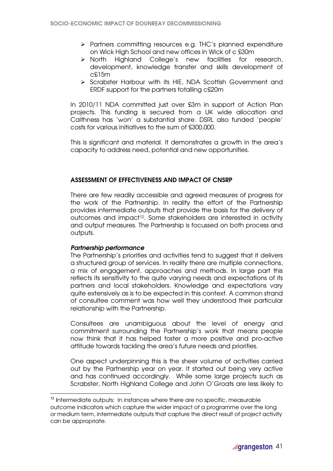- Partners committing resources e.g. THC's planned expenditure on Wick High School and new offices in Wick of c £30m
- North Highland College's new facilities for research, development, knowledge transfer and skills development of c£15m
- Scrabster Harbour with its HIE, NDA Scottish Government and ERDF support for the partners totalling c£20m

In 2010/11 NDA committed just over £3m in support of Action Plan projects. This funding is secured from a UK wide allocation and Caithness has 'won' a substantial share. DSRL also funded 'people' costs for various initiatives to the sum of £300,000.

This is significant and material. It demonstrates a growth in the area's capacity to address need, potential and new opportunities.

# ASSESSMENT OF EFFECTIVENESS AND IMPACT OF CNSRP

There are few readily accessible and agreed measures of progress for the work of the Partnership. In reality the effort of the Partnership provides intermediate outputs that provide the basis for the delivery of outcomes and impact12. Some stakeholders are interested in activity and output measures. The Partnership is focussed on both process and outputs.

# Partnership performance

 $\overline{a}$ 

The Partnership's priorities and activities tend to suggest that it delivers a structured group of services. In reality there are multiple connections, a mix of engagement, approaches and methods. In large part this reflects its sensitivity to the quite varying needs and expectations of its partners and local stakeholders. Knowledge and expectations vary quite extensively as is to be expected in this context. A common strand of consultee comment was how well they understood their particular relationship with the Partnership.

Consultees are unambiguous about the level of energy and commitment surrounding the Partnership's work that means people now think that it has helped foster a more positive and pro-active attitude towards tackling the area's future needs and priorities.

One aspect underpinning this is the sheer volume of activities carried out by the Partnership year on year. It started out being very active and has continued accordingly. While some large projects such as Scrabster, North Highland College and John O'Groats are less likely to

<sup>&</sup>lt;sup>12</sup> Intermediate outputs: In instances where there are no specific, measurable outcome indicators which capture the wider impact of a programme over the long or medium term, intermediate outputs that capture the direct result of project activity can be appropriate.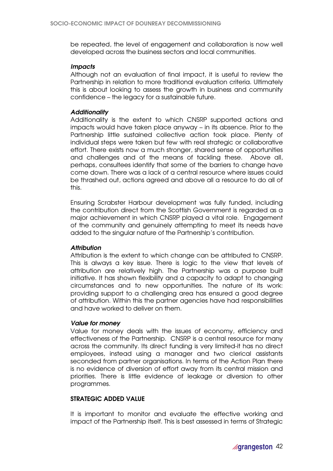be repeated, the level of engagement and collaboration is now well developed across the business sectors and local communities.

### **Impacts**

Although not an evaluation of final impact, it is useful to review the Partnership in relation to more traditional evaluation criteria. Ultimately this is about looking to assess the growth in business and community confidence – the legacy for a sustainable future.

# **Additionality**

Additionality is the extent to which CNSRP supported actions and impacts would have taken place anyway – in its absence. Prior to the Partnership little sustained collective action took place. Plenty of individual steps were taken but few with real strategic or collaborative effort. There exists now a much stronger, shared sense of opportunities and challenges and of the means of tackling these. Above all, perhaps, consultees identify that some of the barriers to change have come down. There was a lack of a central resource where issues could be thrashed out, actions agreed and above all a resource to do all of this.

Ensuring Scrabster Harbour development was fully funded, including the contribution direct from the Scottish Government is regarded as a major achievement in which CNSRP played a vital role. Engagement of the community and genuinely attempting to meet its needs have added to the singular nature of the Partnership's contribution.

# **Attribution**

Attribution is the extent to which change can be attributed to CNSRP. This is always a key issue. There is logic to the view that levels of attribution are relatively high. The Partnership was a purpose built initiative. It has shown flexibility and a capacity to adapt to changing circumstances and to new opportunities. The nature of its work: providing support to a challenging area has ensured a good degree of attribution. Within this the partner agencies have had responsibilities and have worked to deliver on them.

#### Value for money

Value for money deals with the issues of economy, efficiency and effectiveness of the Partnership. CNSRP is a central resource for many across the community. Its direct funding is very limited-it has no direct employees, instead using a manager and two clerical assistants seconded from partner organisations. In terms of the Action Plan there is no evidence of diversion of effort away from its central mission and priorities. There is little evidence of leakage or diversion to other programmes.

# STRATEGIC ADDED VALUE

It is important to monitor and evaluate the effective working and impact of the Partnership itself. This is best assessed in terms of Strategic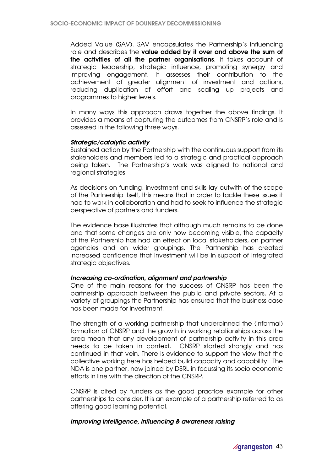Added Value (SAV). SAV encapsulates the Partnership's influencing role and describes the value added by it over and above the sum of the activities of all the partner organisations. It takes account of strategic leadership, strategic influence, promoting synergy and improving engagement. It assesses their contribution to the achievement of greater alignment of investment and actions, reducing duplication of effort and scaling up projects and programmes to higher levels.

In many ways this approach draws together the above findings. It provides a means of capturing the outcomes from CNSRP's role and is assessed in the following three ways.

### Strategic/catalytic activity

Sustained action by the Partnership with the continuous support from its stakeholders and members led to a strategic and practical approach being taken. The Partnership's work was aligned to national and regional strategies.

As decisions on funding, investment and skills lay outwith of the scope of the Partnership itself, this means that in order to tackle these issues it had to work in collaboration and had to seek to influence the strategic perspective of partners and funders.

The evidence base illustrates that although much remains to be done and that some changes are only now becoming visible, the capacity of the Partnership has had an effect on local stakeholders, on partner agencies and on wider groupings. The Partnership has created increased confidence that investment will be in support of integrated strategic objectives.

#### Increasing co-ordination, alignment and partnership

One of the main reasons for the success of CNSRP has been the partnership approach between the public and private sectors. At a variety of groupings the Partnership has ensured that the business case has been made for investment.

The strength of a working partnership that underpinned the (informal) formation of CNSRP and the growth in working relationships across the area mean that any development of partnership activity in this area needs to be taken in context. CNSRP started strongly and has continued in that vein. There is evidence to support the view that the collective working here has helped build capacity and capability. The NDA is one partner, now joined by DSRL in focussing its socio economic efforts in line with the direction of the CNSRP.

CNSRP is cited by funders as the good practice example for other partnerships to consider. It is an example of a partnership referred to as offering good learning potential.

#### Improving intelligence, influencing & awareness raising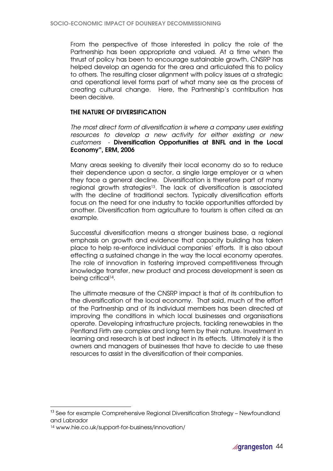From the perspective of those interested in policy the role of the Partnership has been appropriate and valued. At a time when the thrust of policy has been to encourage sustainable growth, CNSRP has helped develop an agenda for the area and articulated this to policy to others. The resulting closer alignment with policy issues at a strategic and operational level forms part of what many see as the process of creating cultural change. Here, the Partnership's contribution has been decisive.

# THE NATURE OF DIVERSIFICATION

The most direct form of diversification is where a company uses existing resources to develop a new activity for either existing or new customers - Diversification Opportunities at BNFL and in the Local Economy", ERM, 2006

Many areas seeking to diversify their local economy do so to reduce their dependence upon a sector, a single large employer or a when they face a general decline. Diversification is therefore part of many regional growth strategies<sup>13</sup>. The lack of diversification is associated with the decline of traditional sectors. Typically diversification efforts focus on the need for one industry to tackle opportunities afforded by another. Diversification from agriculture to tourism is often cited as an example.

Successful diversification means a stronger business base, a regional emphasis on growth and evidence that capacity building has taken place to help re-enforce individual companies' efforts. It is also about effecting a sustained change in the way the local economy operates. The role of innovation in fostering improved competitiveness through knowledge transfer, new product and process development is seen as being critical14.

The ultimate measure of the CNSRP impact is that of its contribution to the diversification of the local economy. That said, much of the effort of the Partnership and of its individual members has been directed at improving the conditions in which local businesses and organisations operate. Developing infrastructure projects, tackling renewables in the Pentland Firth are complex and long term by their nature. Investment in learning and research is at best indirect in its effects. Ultimately it is the owners and managers of businesses that have to decide to use these resources to assist in the diversification of their companies.

 $\overline{a}$ 

<sup>&</sup>lt;sup>13</sup> See for example Comprehensive Regional Diversification Strategy – Newfoundland and Labrador

<sup>14</sup> www.hie.co.uk/support-for-business/innovation/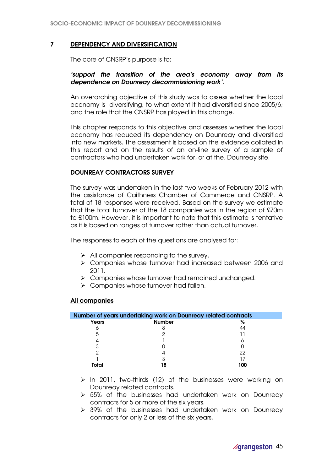# 7 DEPENDENCY AND DIVERSIFICATION

The core of CNSRP's purpose is to:

# 'support the transition of the area's economy away from its dependence on Dounreay decommissioning work'.

An overarching objective of this study was to assess whether the local economy is diversifying; to what extent it had diversified since 2005/6; and the role that the CNSRP has played in this change.

This chapter responds to this objective and assesses whether the local economy has reduced its dependency on Dounreay and diversified into new markets. The assessment is based on the evidence collated in this report and on the results of an on-line survey of a sample of contractors who had undertaken work for, or at the, Dounreay site.

# DOUNREAY CONTRACTORS SURVEY

The survey was undertaken in the last two weeks of February 2012 with the assistance of Caithness Chamber of Commerce and CNSRP. A total of 18 responses were received. Based on the survey we estimate that the total turnover of the 18 companies was in the region of £70m to £100m. However, it is important to note that this estimate is tentative as it is based on ranges of turnover rather than actual turnover.

The responses to each of the questions are analysed for:

- $\triangleright$  All companies responding to the survey.
- Companies whose turnover had increased between 2006 and 2011.
- > Companies whose turnover had remained unchanged.
- > Companies whose turnover had fallen.

# All companies

| Number of years undertaking work on Dounreay related contracts |               |     |
|----------------------------------------------------------------|---------------|-----|
| Years                                                          | <b>Number</b> | %   |
| O                                                              |               |     |
| 5                                                              |               |     |
|                                                                |               |     |
|                                                                |               |     |
|                                                                |               | 22  |
|                                                                |               |     |
| Total                                                          |               | າດດ |

- $\triangleright$  In 2011, two-thirds (12) of the businesses were working on Dounreay related contracts.
- > 55% of the businesses had undertaken work on Dounreay contracts for 5 or more of the six years.
- 39% of the businesses had undertaken work on Dounreay contracts for only 2 or less of the six years.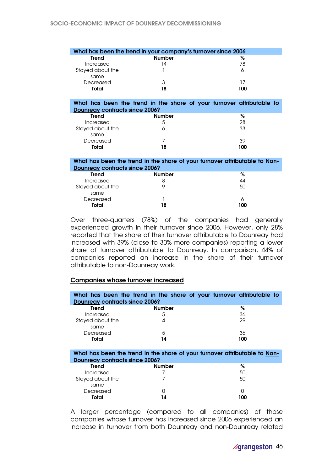| What has been the trend in your company's turnover since 2006 |               |     |
|---------------------------------------------------------------|---------------|-----|
| Trend                                                         | <b>Number</b> | %   |
| Increased                                                     | 14            | 78  |
| Stayed about the                                              |               |     |
| same                                                          |               |     |
| Decreased                                                     | 3             |     |
| Total                                                         | 18            | 100 |

#### What has been the trend in the share of your turnover attributable to Dounreay contracts since 2006?

| <b>Trend</b>     | <b>Number</b> | %   |
|------------------|---------------|-----|
| Increased        |               | 28  |
| Stayed about the |               | 33  |
| same             |               |     |
| Decreased        |               | 39  |
| Total            | 8             | 100 |

#### What has been the trend in the share of your turnover attributable to Non-Dounreay contracts since 2006?

| <b>Trend</b>     | <b>Number</b> | %   |
|------------------|---------------|-----|
| Increased        |               | 44  |
| Stayed about the |               | 50  |
| same             |               |     |
| Decreased        |               | 6   |
| Total            | 18            | 100 |

Over three-quarters (78%) of the companies had generally experienced growth in their turnover since 2006. However, only 28% reported that the share of their turnover attributable to Dounreay had increased with 39% (close to 30% more companies) reporting a lower share of turnover attributable to Dounreay. In comparison, 44% of companies reported an increase in the share of their turnover attributable to non-Dounreay work.

# Companies whose turnover increased

| <b>Dounreay contracts since 2006?</b> | What has been the trend in the share of your turnover attributable to |     |
|---------------------------------------|-----------------------------------------------------------------------|-----|
| Trend                                 | <b>Number</b>                                                         | %   |
| Increased                             | 5                                                                     | 36  |
| Stayed about the                      | 4                                                                     | 29  |
| same                                  |                                                                       |     |
| Decreased                             | 5                                                                     | 36  |
| Total                                 | 14                                                                    | 100 |

What has been the trend in the share of your turnover attributable to Non-Dounreay contracts since 2006?

| <b>Trend</b>     | <b>Number</b> | %   |
|------------------|---------------|-----|
| Increased        |               | 50  |
| Stayed about the |               | 50  |
| same             |               |     |
| Decreased        |               |     |
| <b>Total</b>     | 14            | 100 |

A larger percentage (compared to all companies) of those companies whose turnover has increased since 2006 experienced an increase in turnover from both Dounreay and non-Dounreay related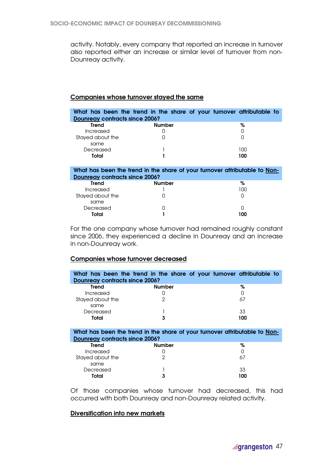activity. Notably, every company that reported an increase in turnover also reported either an increase or similar level of turnover from non-Dounreay activity.

# Companies whose turnover stayed the same

| What has been the trend in the share of your turnover attributable to<br><b>Dounreay contracts since 2006?</b> |               |     |  |  |
|----------------------------------------------------------------------------------------------------------------|---------------|-----|--|--|
| Trend                                                                                                          | <b>Number</b> | %   |  |  |
| Increased                                                                                                      |               |     |  |  |
| Stayed about the                                                                                               |               |     |  |  |
| same                                                                                                           |               |     |  |  |
| Decreased                                                                                                      |               | 100 |  |  |
| Total                                                                                                          |               | 100 |  |  |

#### What has been the trend in the share of your turnover attributable to Non-Dounreay contracts since 2006?

| <b>Trend</b>     | <b>Number</b> | %   |
|------------------|---------------|-----|
| Increased        |               | 100 |
| Stayed about the |               |     |
| same             |               |     |
| Decreased        |               |     |
| <b>Total</b>     |               | 100 |

For the one company whose turnover had remained roughly constant since 2006, they experienced a decline in Dounreay and an increase in non-Dounreay work.

# Companies whose turnover decreased

|                                       | What has been the trend in the share of your turnover attributable to |     |  |
|---------------------------------------|-----------------------------------------------------------------------|-----|--|
| <b>Dounreay contracts since 2006?</b> |                                                                       |     |  |
| Trend                                 | Number                                                                | %   |  |
| Increased                             |                                                                       |     |  |
| Stayed about the                      | っ                                                                     | 67  |  |
| same                                  |                                                                       |     |  |
| Decreased                             |                                                                       | 33  |  |
| Total                                 | 3                                                                     | 100 |  |

### What has been the trend in the share of your turnover attributable to Non-Dounreay contracts since 2006?

| <b>Trend</b>     | <b>Number</b> | %          |
|------------------|---------------|------------|
| Increased        |               |            |
| Stayed about the | ≘             | $\Delta$ / |
| same             |               |            |
| Decreased        |               | 33         |
| Total            | 3             | 100        |

Of those companies whose turnover had decreased, this had occurred with both Dounreay and non-Dounreay related activity.

# Diversification into new markets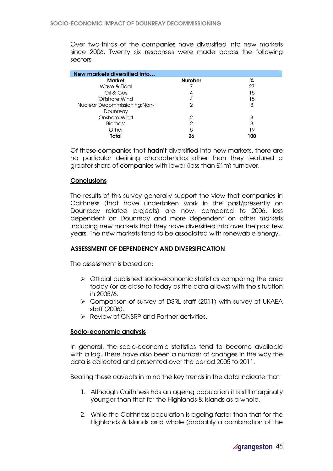Over two-thirds of the companies have diversified into new markets since 2006. Twenty six responses were made across the following sectors.

| New markets diversified into |               |     |
|------------------------------|---------------|-----|
| <b>Market</b>                | <b>Number</b> | %   |
| Wave & Tidal                 |               | 27  |
| Oil & Gas                    | 4             | 15  |
| Offshore Wind                | 4             | 15  |
| Nuclear Decommissioning:Non- | っ             | 8   |
| Dounreay                     |               |     |
| Onshore Wind                 | 2             | 8   |
| <b>Biomass</b>               | ≘             | 8   |
| Other                        | 5             | 19  |
| Total                        | 26            | 100 |

Of those companies that **hadn't** diversified into new markets, there are no particular defining characteristics other than they featured a greater share of companies with lower (less than £1m) turnover.

# **Conclusions**

The results of this survey generally support the view that companies in Caithness (that have undertaken work in the past/presently on Dounreay related projects) are now, compared to 2006, less dependent on Dounreay and more dependent on other markets including new markets that they have diversified into over the past few years. The new markets tend to be associated with renewable energy.

# ASSESSMENT OF DEPENDENCY AND DIVERSIFICATION

The assessment is based on:

- Official published socio-economic statistics comparing the area today (or as close to today as the data allows) with the situation in 2005/6.
- Comparison of survey of DSRL staff (2011) with survey of UKAEA staff (2006).
- Review of CNSRP and Partner activities.

#### Socio-economic analysis

In general, the socio-economic statistics tend to become available with a lag. There have also been a number of changes in the way the data is collected and presented over the period 2005 to 2011.

Bearing these caveats in mind the key trends in the data indicate that:

- 1. Although Caithness has an ageing population it is still marginally younger than that for the Highlands & Islands as a whole.
- 2. While the Caithness population is ageing faster than that for the Highlands & Islands as a whole (probably a combination of the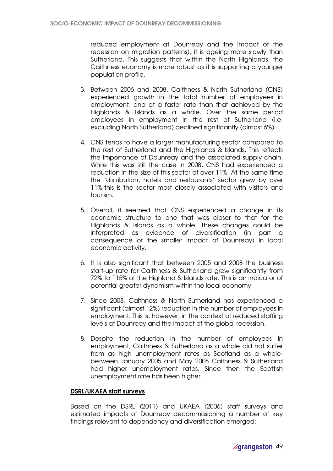reduced employment at Dounreay and the impact of the recession on migration patterns), it is ageing more slowly than Sutherland. This suggests that within the North Highlands, the Caithness economy is more robust as it is supporting a younger population profile.

- 3. Between 2006 and 2008, Caithness & North Sutherland (CNS) experienced growth in the total number of employees in employment, and at a faster rate than that achieved by the Highlands & Islands as a whole. Over the same period employees in employment in the rest of Sutherland (i.e. excluding North Sutherland) declined significantly (almost 6%).
- 4. CNS tends to have a larger manufacturing sector compared to the rest of Sutherland and the Highlands & Islands. This reflects the importance of Dounreay and the associated supply chain. While this was still the case in 2008, CNS had experienced a reduction in the size of this sector of over 11%. At the same time the 'distribution, hotels and restaurants' sector grew by over 11%-this is the sector most closely associated with visitors and tourism.
- 5. Overall, it seemed that CNS experienced a change in its economic structure to one that was closer to that for the Highlands & Islands as a whole. These changes could be interpreted as evidence of diversification (in part a consequence of the smaller impact of Dounreay) in local economic activity.
- 6. It is also significant that between 2005 and 2008 the business start-up rate for Caithness & Sutherland grew significantly from 72% to 115% of the Highland & Islands rate. This is an indicator of potential greater dynamism within the local economy.
- 7. Since 2008, Caithness & North Sutherland has experienced a significant (almost 12%) reduction in the number of employees in employment. This is, however, in the context of reduced staffing levels at Dounreay and the impact of the global recession.
- 8. Despite the reduction in the number of employees in employment, Caithness & Sutherland as a whole did not suffer from as high unemployment rates as Scotland as a wholebetween January 2005 and May 2008 Caithness & Sutherland had higher unemployment rates. Since then the Scottish unemployment rate has been higher.

# DSRL/UKAEA staff surveys

Based on the DSRL (2011) and UKAEA (2006) staff surveys and estimated impacts of Dounreay decommissioning a number of key findings relevant to dependency and diversification emerged: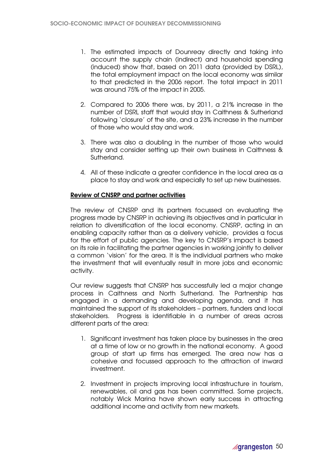- 1. The estimated impacts of Dounreay directly and taking into account the supply chain (indirect) and household spending (induced) show that, based on 2011 data (provided by DSRL), the total employment impact on the local economy was similar to that predicted in the 2006 report. The total impact in 2011 was around 75% of the impact in 2005.
- 2. Compared to 2006 there was, by 2011, a 21% increase in the number of DSRL staff that would stay in Caithness & Sutherland following 'closure' of the site, and a 23% increase in the number of those who would stay and work.
- 3. There was also a doubling in the number of those who would stay and consider setting up their own business in Caithness & Sutherland.
- 4. All of these indicate a greater confidence in the local area as a place to stay and work and especially to set up new businesses.

# Review of CNSRP and partner activities

The review of CNSRP and its partners focussed on evaluating the progress made by CNSRP in achieving its objectives and in particular in relation to diversification of the local economy. CNSRP, acting in an enabling capacity rather than as a delivery vehicle, provides a focus for the effort of public agencies. The key to CNSRP's impact is based on its role in facilitating the partner agencies in working jointly to deliver a common 'vision' for the area. It is the individual partners who make the investment that will eventually result in more jobs and economic activity.

Our review suggests that CNSRP has successfully led a major change process in Caithness and North Sutherland. The Partnership has engaged in a demanding and developing agenda, and it has maintained the support of its stakeholders – partners, funders and local stakeholders. Progress is identifiable in a number of areas across different parts of the area:

- 1. Significant investment has taken place by businesses in the area at a time of low or no growth in the national economy. A good group of start up firms has emerged. The area now has a cohesive and focussed approach to the attraction of inward investment.
- 2. Investment in projects improving local infrastructure in tourism, renewables, oil and gas has been committed. Some projects, notably Wick Marina have shown early success in attracting additional income and activity from new markets.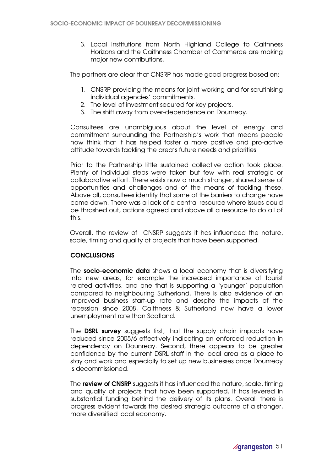3. Local institutions from North Highland College to Caithness Horizons and the Caithness Chamber of Commerce are making major new contributions.

The partners are clear that CNSRP has made good progress based on:

- 1. CNSRP providing the means for joint working and for scrutinising individual agencies' commitments.
- 2. The level of investment secured for key projects.
- 3. The shift away from over-dependence on Dounreay.

Consultees are unambiguous about the level of energy and commitment surrounding the Partnership's work that means people now think that it has helped foster a more positive and pro-active attitude towards tackling the area's future needs and priorities.

Prior to the Partnership little sustained collective action took place. Plenty of individual steps were taken but few with real strategic or collaborative effort. There exists now a much stronger, shared sense of opportunities and challenges and of the means of tackling these. Above all, consultees identify that some of the barriers to change have come down. There was a lack of a central resource where issues could be thrashed out, actions agreed and above all a resource to do all of this.

Overall, the review of CNSRP suggests it has influenced the nature, scale, timing and quality of projects that have been supported.

# **CONCLUSIONS**

The socio-economic data shows a local economy that is diversifying into new areas, for example the increased importance of tourist related activities, and one that is supporting a 'younger' population compared to neighbouring Sutherland. There is also evidence of an improved business start-up rate and despite the impacts of the recession since 2008, Caithness & Sutherland now have a lower unemployment rate than Scotland.

The **DSRL survey** suggests first, that the supply chain impacts have reduced since 2005/6 effectively indicating an enforced reduction in dependency on Dounreay. Second, there appears to be greater confidence by the current DSRL staff in the local area as a place to stay and work and especially to set up new businesses once Dounreay is decommissioned.

The review of CNSRP suggests it has influenced the nature, scale, timing and quality of projects that have been supported. It has levered in substantial funding behind the delivery of its plans. Overall there is progress evident towards the desired strategic outcome of a stronger, more diversified local economy.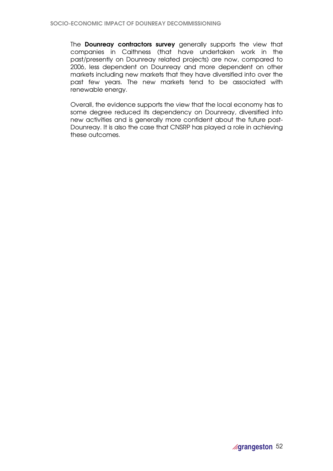The **Dounreay contractors survey** generally supports the view that companies in Caithness (that have undertaken work in the past/presently on Dounreay related projects) are now, compared to 2006, less dependent on Dounreay and more dependent on other markets including new markets that they have diversified into over the past few years. The new markets tend to be associated with renewable energy.

Overall, the evidence supports the view that the local economy has to some degree reduced its dependency on Dounreay, diversified into new activities and is generally more confident about the future post-Dounreay. It is also the case that CNSRP has played a role in achieving these outcomes.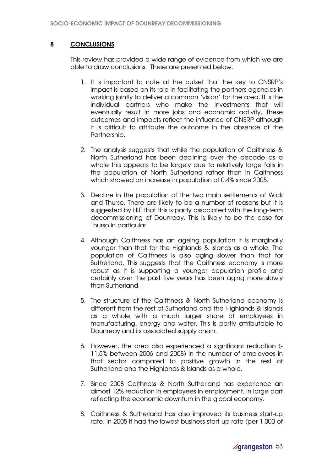# 8 CONCLUSIONS

This review has provided a wide range of evidence from which we are able to draw conclusions. These are presented below.

- 1. It is important to note at the outset that the key to CNSRP's impact is based on its role in facilitating the partners agencies in working jointly to deliver a common 'vision' for the area. It is the individual partners who make the investments that will eventually result in more jobs and economic activity. These outcomes and impacts reflect the influence of CNSRP although it is difficult to attribute the outcome in the absence of the Partnership.
- 2. The analysis suggests that while the population of Caithness & North Sutherland has been declining over the decade as a whole this appears to be largely due to relatively large falls in the population of North Sutherland rather than in Caithness which showed an increase in population of 0.4% since 2005.
- 3. Decline in the population of the two main settlements of Wick and Thurso. There are likely to be a number of reasons but it is suggested by HIE that this is partly associated with the long-term decommissioning of Dounreay. This is likely to be the case for Thurso in particular.
- 4. Although Caithness has an ageing population it is marginally younger than that for the Highlands & Islands as a whole. The population of Caithness is also aging slower than that for Sutherland. This suggests that the Caithness economy is more robust as it is supporting a younger population profile and certainly over the past five years has been aging more slowly than Sutherland.
- 5. The structure of the Caithness & North Sutherland economy is different from the rest of Sutherland and the Highlands & Islands as a whole with a much larger share of employees in manufacturing, energy and water. This is partly attributable to Dounreay and its associated supply chain.
- 6. However, the area also experienced a significant reduction (- 11.5% between 2006 and 2008) in the number of employees in that sector compared to positive growth in the rest of Sutherland and the Highlands & Islands as a whole.
- 7. Since 2008 Caithness & North Sutherland has experience an almost 12% reduction in employees in employment, in large part reflecting the economic downturn in the global economy.
- 8. Caithness & Sutherland has also improved its business start-up rate. In 2005 it had the lowest business start-up rate (per 1,000 of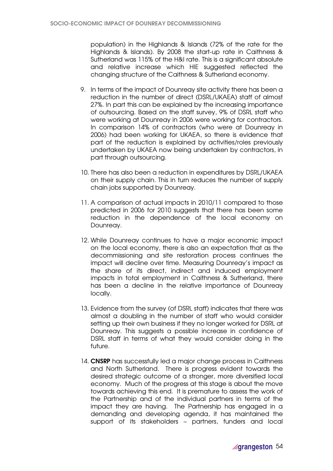population) in the Highlands & Islands (72% of the rate for the Highlands & Islands). By 2008 the start-up rate in Caithness & Sutherland was 115% of the H&I rate. This is a significant absolute and relative increase which HIE suggested reflected the changing structure of the Caithness & Sutherland economy.

- 9. In terms of the impact of Dounreay site activity there has been a reduction in the number of direct (DSRL/UKAEA) staff of almost 27%. In part this can be explained by the increasing importance of outsourcing. Based on the staff survey, 9% of DSRL staff who were working at Dounreay in 2006 were working for contractors. In comparison 14% of contractors (who were at Dounreay in 2006) had been working for UKAEA, so there is evidence that part of the reduction is explained by activities/roles previously undertaken by UKAEA now being undertaken by contractors, in part through outsourcing.
- 10. There has also been a reduction in expenditures by DSRL/UKAEA on their supply chain. This in turn reduces the number of supply chain jobs supported by Dounreay.
- 11. A comparison of actual impacts in 2010/11 compared to those predicted in 2006 for 2010 suggests that there has been some reduction in the dependence of the local economy on Dounreay.
- 12. While Dounreay continues to have a major economic impact on the local economy, there is also an expectation that as the decommissioning and site restoration process continues the impact will decline over time. Measuring Dounreay's impact as the share of its direct, indirect and induced employment impacts in total employment in Caithness & Sutherland, there has been a decline in the relative importance of Dounreay locally.
- 13. Evidence from the survey (of DSRL staff) indicates that there was almost a doubling in the number of staff who would consider setting up their own business if they no longer worked for DSRL at Dounreay. This suggests a possible increase in confidence of DSRL staff in terms of what they would consider doing in the future.
- 14. CNSRP has successfully led a major change process in Caithness and North Sutherland. There is progress evident towards the desired strategic outcome of a stronger, more diversified local economy. Much of the progress at this stage is about the move towards achieving this end. It is premature to assess the work of the Partnership and of the individual partners in terms of the impact they are having. The Partnership has engaged in a demanding and developing agenda, it has maintained the support of its stakeholders – partners, funders and local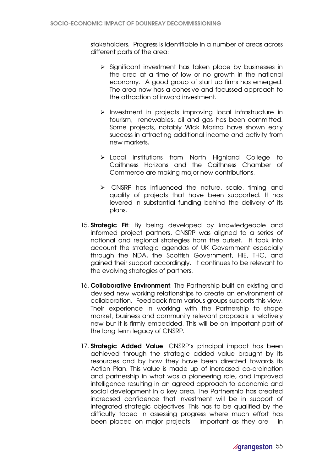stakeholders. Progress is identifiable in a number of areas across different parts of the area:

- $\triangleright$  Significant investment has taken place by businesses in the area at a time of low or no growth in the national economy. A good group of start up firms has emerged. The area now has a cohesive and focussed approach to the attraction of inward investment.
- $\triangleright$  Investment in projects improving local infrastructure in tourism, renewables, oil and gas has been committed. Some projects, notably Wick Marina have shown early success in attracting additional income and activity from new markets.
- > Local institutions from North Highland College to Caithness Horizons and the Caithness Chamber of Commerce are making major new contributions.
- $\triangleright$  CNSRP has influenced the nature, scale, timing and quality of projects that have been supported. It has levered in substantial funding behind the delivery of its plans.
- 15. **Strategic Fit:** By being developed by knowledgeable and informed project partners, CNSRP was aligned to a series of national and regional strategies from the outset. It took into account the strategic agendas of UK Government especially through the NDA, the Scottish Government, HIE, THC, and gained their support accordingly. It continues to be relevant to the evolving strategies of partners.
- 16. Collaborative Environment: The Partnership built on existing and devised new working relationships to create an environment of collaboration. Feedback from various groups supports this view. Their experience in working with the Partnership to shape market, business and community relevant proposals is relatively new but it is firmly embedded. This will be an important part of the long term legacy of CNSRP.
- 17. **Strategic Added Value**: CNSRP's principal impact has been achieved through the strategic added value brought by its resources and by how they have been directed towards its Action Plan. This value is made up of increased co-ordination and partnership in what was a pioneering role, and improved intelligence resulting in an agreed approach to economic and social development in a key area. The Partnership has created increased confidence that investment will be in support of integrated strategic objectives. This has to be qualified by the difficulty faced in assessing progress where much effort has been placed on major projects – important as they are – in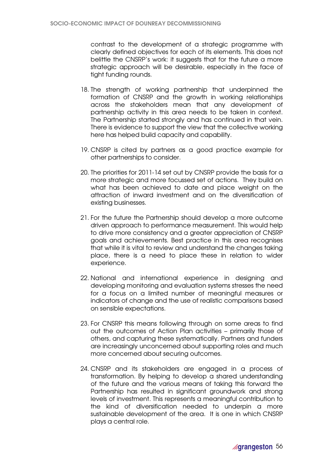contrast to the development of a strategic programme with clearly defined objectives for each of its elements. This does not belittle the CNSRP's work: it suggests that for the future a more strategic approach will be desirable, especially in the face of tight funding rounds.

- 18. The strength of working partnership that underpinned the formation of CNSRP and the growth in working relationships across the stakeholders mean that any development of partnership activity in this area needs to be taken in context. The Partnership started strongly and has continued in that vein. There is evidence to support the view that the collective working here has helped build capacity and capability.
- 19. CNSRP is cited by partners as a good practice example for other partnerships to consider.
- 20. The priorities for 2011-14 set out by CNSRP provide the basis for a more strategic and more focussed set of actions. They build on what has been achieved to date and place weight on the attraction of inward investment and on the diversification of existing businesses.
- 21. For the future the Partnership should develop a more outcome driven approach to performance measurement. This would help to drive more consistency and a greater appreciation of CNSRP goals and achievements. Best practice in this area recognises that while it is vital to review and understand the changes taking place, there is a need to place these in relation to wider experience.
- 22. National and international experience in designing and developing monitoring and evaluation systems stresses the need for a focus on a limited number of meaningful measures or indicators of change and the use of realistic comparisons based on sensible expectations.
- 23. For CNSRP this means following through on some areas to find out the outcomes of Action Plan activities – primarily those of others, and capturing these systematically. Partners and funders are increasingly unconcerned about supporting roles and much more concerned about securing outcomes.
- 24. CNSRP and its stakeholders are engaged in a process of transformation. By helping to develop a shared understanding of the future and the various means of taking this forward the Partnership has resulted in significant groundwork and strong levels of investment. This represents a meaningful contribution to the kind of diversification needed to underpin a more sustainable development of the area. It is one in which CNSRP plays a central role.